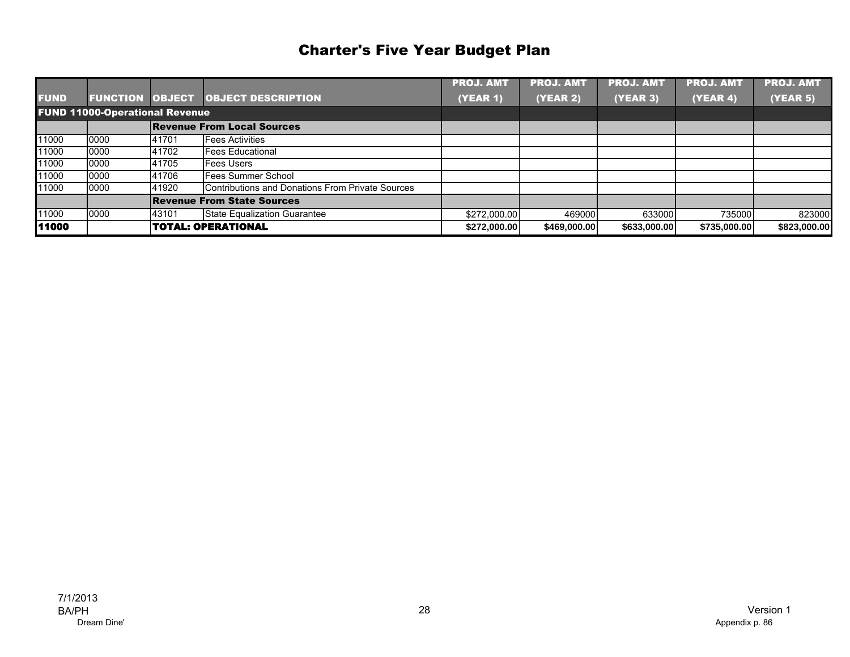|             |                                       |       |                                                  | <b>PROJ. AMT</b> | <b>PROJ. AMT</b> | <b>PROJ. AMT</b> | <b>PROJ. AMT</b> | <b>PROJ. AMT</b> |
|-------------|---------------------------------------|-------|--------------------------------------------------|------------------|------------------|------------------|------------------|------------------|
| <b>FUND</b> | <b>FUNCTION OBJECT</b>                |       | <b>OBJECT DESCRIPTION</b>                        | <b>(YEAR 1)</b>  | <b>(YEAR 2)</b>  | (YEAR 3)         | (YEAR 4)         | (YEAR 5)         |
|             | <b>FUND 11000-Operational Revenue</b> |       |                                                  |                  |                  |                  |                  |                  |
|             |                                       |       | <b>Revenue From Local Sources</b>                |                  |                  |                  |                  |                  |
| 11000       | 0000                                  | 41701 | <b>Fees Activities</b>                           |                  |                  |                  |                  |                  |
| 11000       | 0000                                  | 41702 | <b>Fees Educational</b>                          |                  |                  |                  |                  |                  |
| 11000       | 0000                                  | 41705 | <b>Fees Users</b>                                |                  |                  |                  |                  |                  |
| 11000       | 0000                                  | 41706 | Fees Summer School                               |                  |                  |                  |                  |                  |
| 11000       | 0000                                  | 41920 | Contributions and Donations From Private Sources |                  |                  |                  |                  |                  |
|             |                                       |       | <b>Revenue From State Sources</b>                |                  |                  |                  |                  |                  |
| 11000       | 0000                                  | 43101 | <b>State Equalization Guarantee</b>              | \$272,000.00     | 469000           | 633000           | 735000           | 823000           |
| 11000       |                                       |       | <b>TOTAL: OPERATIONAL</b>                        | \$272,000.00     | \$469,000,00     | \$633,000.00     | \$735,000.00     | \$823,000.00     |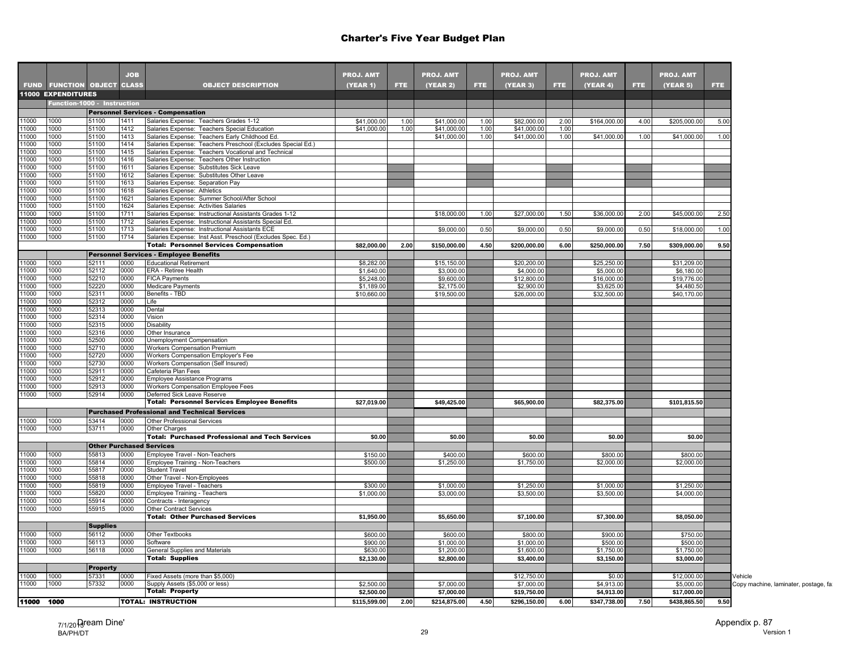|                |                                   |                 | <b>JOB</b>   |                                                                                                                  | <b>PROJ. AMT</b> |      | <b>PROJ. AMT</b> |      | <b>PROJ. AMT</b> |      | <b>PROJ. AMT</b> |      | <b>PROJ. AMT</b> |            |
|----------------|-----------------------------------|-----------------|--------------|------------------------------------------------------------------------------------------------------------------|------------------|------|------------------|------|------------------|------|------------------|------|------------------|------------|
|                | <b>FUND FUNCTION OBJECT CLASS</b> |                 |              | <b>OBJECT DESCRIPTION</b>                                                                                        | (YEAR 1)         | FTE. | <b>(YEAR 2)</b>  | FTE. | (YEAR 3)         | FTE. | (YEAR 4)         | FTE. | (YEAR 5)         | <b>FTE</b> |
|                | <b>11000 EXPENDITURES</b>         |                 |              |                                                                                                                  |                  |      |                  |      |                  |      |                  |      |                  |            |
|                | Function-1000 - Instruction       |                 |              |                                                                                                                  |                  |      |                  |      |                  |      |                  |      |                  |            |
|                |                                   |                 |              | <b>Personnel Services - Compensation</b>                                                                         |                  |      |                  |      |                  |      |                  |      |                  |            |
| 11000          | 1000                              | 51100           | 1411         | Salaries Expense: Teachers Grades 1-12                                                                           | \$41,000.00      | 1.00 | \$41,000.00      | 1.00 | \$82,000.00      | 2.00 | \$164,000.00     | 4.00 | \$205,000.00     | 5.00       |
| 11000          | 1000                              | 51100           | 1412         | Salaries Expense: Teachers Special Education                                                                     | \$41,000.00      | 1.00 | \$41,000.00      | 1.00 | \$41,000.00      | 1.00 |                  |      |                  |            |
| 11000          | 1000                              | 51100           | 1413         | Salaries Expense: Teachers Early Childhood Ed.                                                                   |                  |      | \$41,000.00      | 1.00 | \$41,000.00      | 1.00 | \$41,000.00      | 1.00 | \$41,000.00      | 1.00       |
| 11000          | 1000                              | 51100           | 1414         | Salaries Expense: Teachers Preschool (Excludes Special Ed.)                                                      |                  |      |                  |      |                  |      |                  |      |                  |            |
| 11000          | 1000                              | 51100           | 1415         | Salaries Expense: Teachers Vocational and Technical                                                              |                  |      |                  |      |                  |      |                  |      |                  |            |
| 11000          | 1000                              | 51100           | 1416         | Salaries Expense: Teachers Other Instruction                                                                     |                  |      |                  |      |                  |      |                  |      |                  |            |
| 11000          | 1000                              | 51100           | 1611         | Salaries Expense: Substitutes Sick Leave                                                                         |                  |      |                  |      |                  |      |                  |      |                  |            |
| 11000          | 1000                              | 51100           | 1612         | Salaries Expense: Substitutes Other Leave                                                                        |                  |      |                  |      |                  |      |                  |      |                  |            |
| 11000          | 1000                              | 51100           | 1613         | Salaries Expense: Separation Pay                                                                                 |                  |      |                  |      |                  |      |                  |      |                  |            |
| 11000          | 1000                              | 51100           | 1618         | Salaries Expense: Athletics                                                                                      |                  |      |                  |      |                  |      |                  |      |                  |            |
| 11000          | 1000                              | 51100           | 1621         | Salaries Expense: Summer School/After School                                                                     |                  |      |                  |      |                  |      |                  |      |                  |            |
| 11000          | 1000                              | 51100           | 1624         | Salaries Expense: Activities Salaries                                                                            |                  |      |                  |      |                  |      |                  |      |                  |            |
| 11000<br>11000 | 1000<br>1000                      | 51100<br>51100  | 1711<br>1712 | Salaries Expense: Instructional Assistants Grades 1-12<br>Salaries Expense: Instructional Assistants Special Ed. |                  |      | \$18,000.00      | 1.00 | \$27,000.00      | 1.50 | \$36,000.00      | 2.00 | \$45,000.00      | 2.50       |
| 11000          | 1000                              | 51100           | 1713         | Salaries Expense: Instructional Assistants ECE                                                                   |                  |      | \$9,000.00       | 0.50 | \$9,000.00       | 0.50 | \$9,000.00       | 0.50 | \$18,000.00      | 1.00       |
| 11000          | 1000                              | 51100           | 1714         | Salaries Expense: Inst Asst. Preschool (Excludes Spec. Ed.)                                                      |                  |      |                  |      |                  |      |                  |      |                  |            |
|                |                                   |                 |              | <b>Total: Personnel Services Compensation</b>                                                                    | \$82,000.00      | 2.00 | \$150,000.00     | 4.50 | \$200,000.00     | 6.00 | \$250,000.00     | 7.50 | \$309,000.00     | 9.50       |
|                |                                   |                 |              | <b>Personnel Services - Employee Benefits</b>                                                                    |                  |      |                  |      |                  |      |                  |      |                  |            |
| 11000          | 1000                              | 52111           | 0000         | <b>Educational Retirement</b>                                                                                    | \$8,282.00       |      | \$15,150.00      |      | \$20,200.00      |      | \$25,250.00      |      | \$31,209.00      |            |
| 11000          | 1000                              | 52112           | 0000         | ERA - Retiree Health                                                                                             | \$1,640.00       |      | \$3,000.00       |      | \$4,000.00       |      | \$5,000.00       |      | \$6,180.00       |            |
| 11000          | 1000                              | 52210           | 0000         | <b>FICA Payments</b>                                                                                             | \$5,248.00       |      | \$9,600.00       |      | \$12,800.00      |      | \$16,000.00      |      | \$19,776.00      |            |
| 11000          | 1000                              | 52220           | 0000         | Medicare Payments                                                                                                | \$1,189.00       |      | \$2,175.00       |      | \$2,900.00       |      | \$3,625.00       |      | \$4,480.50       |            |
| 11000          | 1000                              | 52311           | 0000         | Benefits - TBD                                                                                                   | \$10,660.00      |      | \$19,500.00      |      | \$26,000.00      |      | \$32,500.00      |      | \$40,170.00      |            |
| 11000          | 1000                              | 52312           | 0000         | Life                                                                                                             |                  |      |                  |      |                  |      |                  |      |                  |            |
| 11000          | 1000                              | 52313           | 0000         | Dental                                                                                                           |                  |      |                  |      |                  |      |                  |      |                  |            |
| 11000          | 1000                              | 52314           | 0000         | Vision                                                                                                           |                  |      |                  |      |                  |      |                  |      |                  |            |
| 11000          | 1000                              | 52315           | 0000         | Disability                                                                                                       |                  |      |                  |      |                  |      |                  |      |                  |            |
| 11000          | 1000                              | 52316           | 0000         | Other Insurance                                                                                                  |                  |      |                  |      |                  |      |                  |      |                  |            |
| 11000          | 1000                              | 52500           | 0000         | Unemployment Compensation                                                                                        |                  |      |                  |      |                  |      |                  |      |                  |            |
| 11000          | 1000                              | 52710           | 0000         | Workers Compensation Premium                                                                                     |                  |      |                  |      |                  |      |                  |      |                  |            |
| 11000          | 1000                              | 52720           | 0000         | Workers Compensation Employer's Fee                                                                              |                  |      |                  |      |                  |      |                  |      |                  |            |
| 11000          | 1000                              | 52730           | 0000         | Workers Compensation (Self Insured)                                                                              |                  |      |                  |      |                  |      |                  |      |                  |            |
| 11000          | 1000                              | 52911           | 0000         | Cafeteria Plan Fees                                                                                              |                  |      |                  |      |                  |      |                  |      |                  |            |
| 11000          | 1000                              | 52912           | 0000         | Employee Assistance Programs                                                                                     |                  |      |                  |      |                  |      |                  |      |                  |            |
| 11000          | 1000<br>1000                      | 52913           | 0000<br>0000 | Workers Compensation Employee Fees                                                                               |                  |      |                  |      |                  |      |                  |      |                  |            |
| 11000          |                                   | 52914           |              | Deferred Sick Leave Reserve<br><b>Total: Personnel Services Employee Benefits</b>                                | \$27,019.00      |      | \$49,425.00      |      | \$65,900.00      |      | \$82,375.00      |      | \$101,815.50     |            |
|                |                                   |                 |              |                                                                                                                  |                  |      |                  |      |                  |      |                  |      |                  |            |
|                |                                   |                 |              | <b>Purchased Professional and Technical Services</b>                                                             |                  |      |                  |      |                  |      |                  |      |                  |            |
| 11000          | 1000                              | 53414           | 0000         | Other Professional Services                                                                                      |                  |      |                  |      |                  |      |                  |      |                  |            |
| 11000          | 1000                              | 53711           | 0000         | Other Charges<br><b>Total: Purchased Professional and Tech Services</b>                                          |                  |      |                  |      |                  |      |                  |      |                  |            |
|                |                                   |                 |              |                                                                                                                  | \$0.00           |      | \$0.00           |      | \$0.00           |      | \$0.00           |      | \$0.00           |            |
|                |                                   |                 |              | <b>Other Purchased Services</b>                                                                                  |                  |      |                  |      |                  |      |                  |      |                  |            |
| 11000          | 1000                              | 55813           | 0000         | Employee Travel - Non-Teachers                                                                                   | \$150.00         |      | \$400.00         |      | \$600.00         |      | \$800.00         |      | \$800.00         |            |
| 11000<br>11000 | 1000<br>1000                      | 55814<br>55817  | 0000<br>0000 | Employee Training - Non-Teachers                                                                                 | \$500.00         |      | \$1,250.00       |      | \$1,750.00       |      | \$2,000.00       |      | \$2,000.00       |            |
| 11000          | 1000                              | 55818           | 0000         | <b>Student Travel</b><br>Other Travel - Non-Employees                                                            |                  |      |                  |      |                  |      |                  |      |                  |            |
| 11000          | 1000                              | 55819           | 0000         | Employee Travel - Teachers                                                                                       | \$300.00         |      | \$1,000.00       |      | \$1,250.00       |      | \$1,000.00       |      | \$1,250.00       |            |
| 11000          | 1000                              | 55820           | 0000         | Employee Training - Teachers                                                                                     | \$1,000.00       |      | \$3,000.00       |      | \$3,500.00       |      | \$3,500.00       |      | \$4,000.00       |            |
| 11000          | 1000                              | 55914           | 0000         | Contracts - Interagency                                                                                          |                  |      |                  |      |                  |      |                  |      |                  |            |
| 11000          | 1000                              | 55915           | 0000         | <b>Other Contract Services</b>                                                                                   |                  |      |                  |      |                  |      |                  |      |                  |            |
|                |                                   |                 |              | <b>Total: Other Purchased Services</b>                                                                           | \$1,950.00       |      | \$5,650.00       |      | \$7,100.00       |      | \$7,300.00       |      | \$8,050.00       |            |
|                |                                   | <b>Supplies</b> |              |                                                                                                                  |                  |      |                  |      |                  |      |                  |      |                  |            |
| 11000          | 1000                              | 56112           | 0000         | Other Textbooks                                                                                                  | \$600.00         |      | \$600.00         |      | \$800.00         |      | \$900.00         |      | \$750.00         |            |
| 11000          | 1000                              | 56113           | 0000         | Software                                                                                                         | \$900.00         |      | \$1,000.00       |      | \$1,000.00       |      | \$500.00         |      | \$500.00         |            |
| 11000          | 1000                              | 56118           | 0000         | General Supplies and Materials                                                                                   | \$630.00         |      | \$1,200.00       |      | \$1,600.00       |      | \$1,750.00       |      | \$1,750.00       |            |
|                |                                   |                 |              | <b>Total: Supplies</b>                                                                                           | \$2,130.00       |      | \$2,800.00       |      | \$3,400.00       |      | \$3,150.00       |      | \$3,000.00       |            |
|                |                                   | <b>Property</b> |              |                                                                                                                  |                  |      |                  |      |                  |      |                  |      |                  |            |
| 11000          | 1000                              | 57331           | 0000         | Fixed Assets (more than \$5,000)                                                                                 |                  |      |                  |      | \$12,750.00      |      | \$0.00           |      | \$12,000.00      |            |
| 11000          | 1000                              | 57332           | 0000         | Supply Assets (\$5,000 or less)                                                                                  | \$2,500.00       |      | \$7,000.00       |      | \$7,000.00       |      | \$4,913,00       |      | \$5,000.00       |            |
|                |                                   |                 |              | <b>Total: Property</b>                                                                                           | \$2,500.00       |      | \$7,000.00       |      | \$19,750.00      |      | \$4,913.00       |      | \$17,000.00      |            |
| 11000 1000     |                                   |                 |              |                                                                                                                  |                  |      |                  |      |                  |      |                  |      |                  |            |
|                |                                   |                 |              | <b>TOTAL: INSTRUCTION</b>                                                                                        | \$115,599.00     | 2.00 | \$214,875.00     | 4.50 | \$296,150.00     | 6.00 | \$347,738.00     | 7.50 | \$438,865.50     | 9.50       |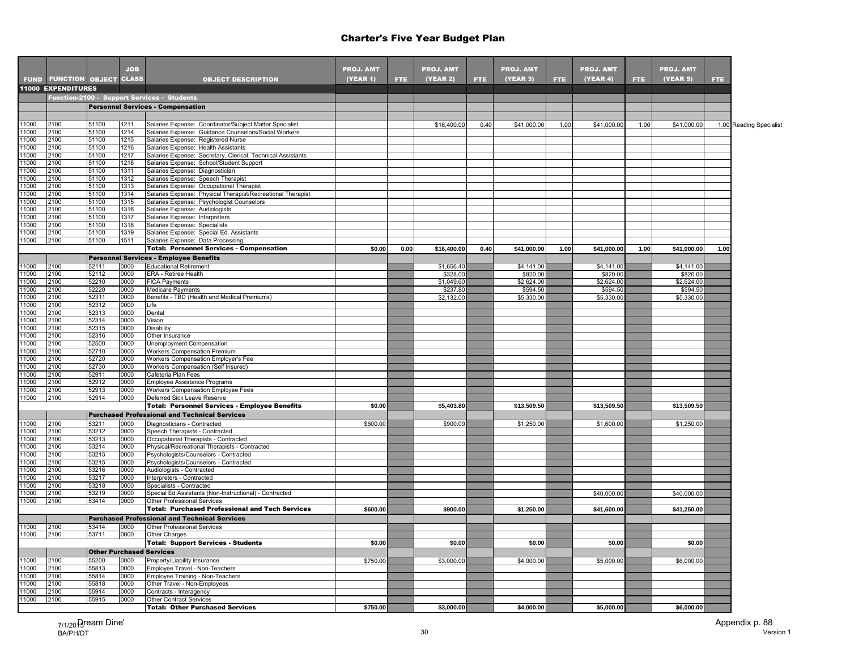|                |                                   |                | <b>JOB</b>   |                                                                                                    | <b>PROJ. AMT</b> |            | <b>PROJ. AMT</b> |      | <b>PROJ. AMT</b> |      | <b>PROJ. AMT</b> |      | <b>PROJ. AMT</b> |      |                         |
|----------------|-----------------------------------|----------------|--------------|----------------------------------------------------------------------------------------------------|------------------|------------|------------------|------|------------------|------|------------------|------|------------------|------|-------------------------|
|                | <b>FUND FUNCTION OBJECT CLASS</b> |                |              | <b>OBJECT DESCRIPTION</b>                                                                          | (YEAR 1)         | <b>FTE</b> | <b>(YEAR 2)</b>  | FTE. | <b>(YEAR 3)</b>  | FTE. | (YEAR 4)         | FTE. | (YEAR 5)         | FTE. |                         |
|                | <b>11000 EXPENDITURES</b>         |                |              |                                                                                                    |                  |            |                  |      |                  |      |                  |      |                  |      |                         |
|                |                                   |                |              | Function-2100 - Support Services - Students                                                        |                  |            |                  |      |                  |      |                  |      |                  |      |                         |
|                |                                   |                |              | <b>Personnel Services - Compensation</b>                                                           |                  |            |                  |      |                  |      |                  |      |                  |      |                         |
|                |                                   |                |              |                                                                                                    |                  |            |                  |      |                  |      |                  |      |                  |      |                         |
| 11000          | 2100                              | 51100          | 1211         | Salaries Expense: Coordinator/Subject Matter Specialist                                            |                  |            | \$16,400.00      | 0.40 | \$41,000.00      | 1.00 | \$41,000.00      | 1.00 | \$41,000.00      |      | 1.00 Reading Specialist |
| 11000          | 2100                              | 51100          | 1214         | Salaries Expense: Guidance Counselors/Social Workers                                               |                  |            |                  |      |                  |      |                  |      |                  |      |                         |
| 11000          | 2100<br>2100                      | 51100<br>51100 | 1215<br>1216 | Salaries Expense: Registered Nurse                                                                 |                  |            |                  |      |                  |      |                  |      |                  |      |                         |
| 11000<br>11000 | 2100                              | 51100          | 1217         | Salaries Expense: Health Assistants<br>Salaries Expense: Secretary, Clerical, Technical Assistants |                  |            |                  |      |                  |      |                  |      |                  |      |                         |
| 11000          | 2100                              | 51100          | 1218         | Salaries Expense: School/Student Support                                                           |                  |            |                  |      |                  |      |                  |      |                  |      |                         |
| 11000          | 2100                              | 51100          | 1311         | Salaries Expense: Diagnostician                                                                    |                  |            |                  |      |                  |      |                  |      |                  |      |                         |
| 11000          | 2100                              | 51100          | 1312         | Salaries Expense: Speech Therapist                                                                 |                  |            |                  |      |                  |      |                  |      |                  |      |                         |
| 11000          | 2100                              | 51100          | 1313         | Salaries Expense: Occupational Therapist                                                           |                  |            |                  |      |                  |      |                  |      |                  |      |                         |
| 11000          | 2100                              | 51100          | 1314         | Salaries Expense: Physical Therapist/Recreational Therapist                                        |                  |            |                  |      |                  |      |                  |      |                  |      |                         |
| 11000          | 2100                              | 51100          | 1315         | Salaries Expense: Psychologist Counselors                                                          |                  |            |                  |      |                  |      |                  |      |                  |      |                         |
| 11000<br>11000 | 2100<br>2100                      | 51100<br>51100 | 1316<br>1317 | Salaries Expense: Audiologists<br>Salaries Expense: Interpreters                                   |                  |            |                  |      |                  |      |                  |      |                  |      |                         |
| 11000          | 2100                              | 51100          | 1318         | Salaries Expense: Specialists                                                                      |                  |            |                  |      |                  |      |                  |      |                  |      |                         |
| 11000          | 2100                              | 51100          | 1319         | Salaries Expense: Special Ed. Assistants                                                           |                  |            |                  |      |                  |      |                  |      |                  |      |                         |
| 11000          | 2100                              | 51100          | 1511         | Salaries Expense: Data Processing                                                                  |                  |            |                  |      |                  |      |                  |      |                  |      |                         |
|                |                                   |                |              | <b>Total: Personnel Services - Compensation</b>                                                    | \$0.00           | 0.00       | \$16,400.00      | 0.40 | \$41,000.00      | 1.00 | \$41,000.00      | 1.00 | \$41,000.00      | 1.00 |                         |
|                |                                   |                |              | <b>Personnel Services - Employee Benefits</b>                                                      |                  |            |                  |      |                  |      |                  |      |                  |      |                         |
| 11000          | 2100                              | 52111          | 0000         | <b>Educational Retirement</b>                                                                      |                  |            | \$1,656.40       |      | \$4,141.00       |      | \$4,141.00       |      | \$4,141.00       |      |                         |
| 11000          | 2100                              | 52112          | 0000         | ERA - Retiree Health                                                                               |                  |            | \$328.00         |      | \$820.00         |      | \$820.00         |      | \$820.00         |      |                         |
| 11000          | 2100                              | 52210          | 0000         | <b>FICA Payments</b>                                                                               |                  |            | \$1,049.60       |      | \$2,624.00       |      | \$2,624.00       |      | \$2,624.00       |      |                         |
| 11000          | 2100                              | 52220          | 0000         | Medicare Payments                                                                                  |                  |            | \$237.80         |      | \$594.50         |      | \$594.50         |      | \$594.50         |      |                         |
| 11000<br>11000 | 2100<br>2100                      | 52311<br>52312 | 0000<br>0000 | Benefits - TBD (Health and Medical Premiums)<br>Life                                               |                  |            | \$2,132.00       |      | \$5,330.00       |      | \$5,330.00       |      | \$5,330.00       |      |                         |
| 11000          | 2100                              | 52313          | 0000         | Dental                                                                                             |                  |            |                  |      |                  |      |                  |      |                  |      |                         |
| 11000          | 2100                              | 52314          | 0000         | Vision                                                                                             |                  |            |                  |      |                  |      |                  |      |                  |      |                         |
| 11000          | 2100                              | 52315          | 0000         | Disability                                                                                         |                  |            |                  |      |                  |      |                  |      |                  |      |                         |
| 11000          | 2100                              | 52316          | 0000         | Other Insurance                                                                                    |                  |            |                  |      |                  |      |                  |      |                  |      |                         |
| 11000          | 2100                              | 52500          | 0000         | Unemployment Compensation                                                                          |                  |            |                  |      |                  |      |                  |      |                  |      |                         |
| 11000          | 2100                              | 52710          | 0000         | <b>Workers Compensation Premium</b>                                                                |                  |            |                  |      |                  |      |                  |      |                  |      |                         |
| 11000<br>11000 | 2100<br>2100                      | 52720<br>52730 | 0000<br>0000 | Workers Compensation Employer's Fee                                                                |                  |            |                  |      |                  |      |                  |      |                  |      |                         |
| 11000          | 2100                              | 52911          | 0000         | Workers Compensation (Self Insured)<br>Cafeteria Plan Fees                                         |                  |            |                  |      |                  |      |                  |      |                  |      |                         |
| 11000          | 2100                              | 52912          | 0000         | Employee Assistance Programs                                                                       |                  |            |                  |      |                  |      |                  |      |                  |      |                         |
| 11000          | 2100                              | 52913          | 0000         | Workers Compensation Employee Fees                                                                 |                  |            |                  |      |                  |      |                  |      |                  |      |                         |
| 11000          | 2100                              | 52914          | 0000         | Deferred Sick Leave Reserve                                                                        |                  |            |                  |      |                  |      |                  |      |                  |      |                         |
|                |                                   |                |              | <b>Total: Personnel Services - Employee Benefits</b>                                               | \$0.00           |            | \$5,403.80       |      | \$13,509.50      |      | \$13,509.50      |      | \$13,509.50      |      |                         |
|                |                                   |                |              | <b>Purchased Professional and Technical Services</b>                                               |                  |            |                  |      |                  |      |                  |      |                  |      |                         |
| 11000          | 2100                              | 53211          | 0000         | Diagnosticians - Contracted                                                                        | \$600.00         |            | \$900.00         |      | \$1,250.00       |      | \$1,600.00       |      | \$1,250.00       |      |                         |
| 11000          | 2100                              | 53212          | 0000         | Speech Therapists - Contracted                                                                     |                  |            |                  |      |                  |      |                  |      |                  |      |                         |
| 11000          | 2100                              | 53213          | 0000         | Occupational Therapists - Contracted                                                               |                  |            |                  |      |                  |      |                  |      |                  |      |                         |
| 11000<br>11000 | 2100<br>2100                      | 53214<br>53215 | 0000<br>0000 | Physical/Recreational Therapists - Contracted<br>Psychologists/Counselors - Contracted             |                  |            |                  |      |                  |      |                  |      |                  |      |                         |
| 11000          | 2100                              | 53215          | 0000         | Psychologists/Counselors - Contracted                                                              |                  |            |                  |      |                  |      |                  |      |                  |      |                         |
| 11000          | 2100                              | 53216          | 0000         | Audiologists - Contracted                                                                          |                  |            |                  |      |                  |      |                  |      |                  |      |                         |
| 11000          | 2100                              | 53217          | 0000         | Interpreters - Contracted                                                                          |                  |            |                  |      |                  |      |                  |      |                  |      |                         |
| 11000          | 2100                              | 53218          | 0000         | Specialists - Contracted                                                                           |                  |            |                  |      |                  |      |                  |      |                  |      |                         |
| 11000          | 2100                              | 53219          | 0000         | Special Ed Assistants (Non-Instructional) - Contracted                                             |                  |            |                  |      |                  |      | \$40,000.00      |      | \$40,000.00      |      |                         |
| 11000          | 2100                              | 53414          | 0000         | Other Professional Services                                                                        |                  |            |                  |      |                  |      |                  |      |                  |      |                         |
|                |                                   |                |              | <b>Total: Purchased Professional and Tech Services</b>                                             | \$600.00         |            | \$900.00         |      | \$1,250.00       |      | \$41,600.00      |      | \$41,250.00      |      |                         |
|                |                                   |                |              | <b>Purchased Professional and Technical Services</b>                                               |                  |            |                  |      |                  |      |                  |      |                  |      |                         |
| 11000          | 2100                              | 53414          | 0000         | Other Professional Services                                                                        |                  |            |                  |      |                  |      |                  |      |                  |      |                         |
| 11000          | 2100                              | 53711          | 0000         | Other Charges                                                                                      |                  |            |                  |      |                  |      |                  |      |                  |      |                         |
|                |                                   |                |              | <b>Total: Support Services - Students</b>                                                          | \$0.00           |            | \$0.00           |      | \$0.00           |      | \$0.00           |      | \$0.00           |      |                         |
|                |                                   |                |              | <b>Other Purchased Services</b>                                                                    |                  |            |                  |      |                  |      |                  |      |                  |      |                         |
| 11000<br>11000 | 2100<br>2100                      | 55200<br>55813 | 0000<br>0000 | Property/Liability Insurance<br>Employee Travel - Non-Teachers                                     | \$750.00         |            | \$3,000.00       |      | \$4,000.00       |      | \$5,000.00       |      | \$6,000.00       |      |                         |
| 11000          | 2100                              | 55814          | 0000         | Employee Training - Non-Teachers                                                                   |                  |            |                  |      |                  |      |                  |      |                  |      |                         |
| 11000          | 2100                              | 55818          | 0000         | Other Travel - Non-Employees                                                                       |                  |            |                  |      |                  |      |                  |      |                  |      |                         |
| 11000          | 2100                              | 55914          | 0000         | Contracts - Interagency                                                                            |                  |            |                  |      |                  |      |                  |      |                  |      |                         |
| 11000          | 2100                              | 55915          | 0000         | <b>Other Contract Services</b>                                                                     |                  |            |                  |      |                  |      |                  |      |                  |      |                         |
|                |                                   |                |              | <b>Total: Other Purchased Services</b>                                                             | \$750.00         |            | \$3,000.00       |      | \$4,000.00       |      | \$5,000.00       |      | \$6,000.00       |      |                         |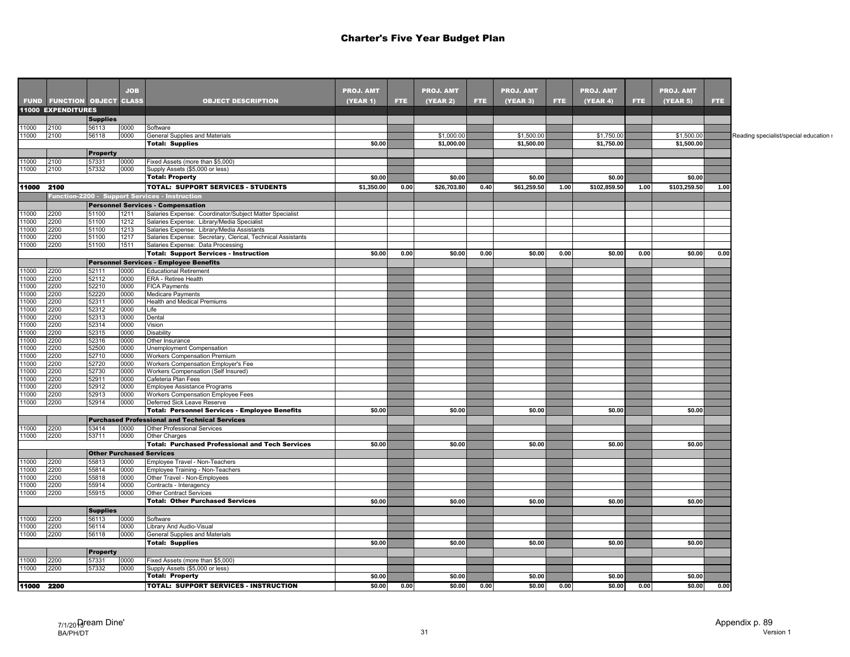|                |                                   |                                 | <b>JOB</b>   |                                                                                                           | <b>PROJ. AMT</b> |      | <b>PROJ. AMT</b> |            | <b>PROJ. AMT</b> |      | <b>PROJ. AMT</b> |      | <b>PROJ. AMT</b> |            |
|----------------|-----------------------------------|---------------------------------|--------------|-----------------------------------------------------------------------------------------------------------|------------------|------|------------------|------------|------------------|------|------------------|------|------------------|------------|
|                | <b>FUND FUNCTION OBJECT CLASS</b> |                                 |              | <b>OBJECT DESCRIPTION</b>                                                                                 | (YEAR 1)         | FTE. | (YEAR 2)         | <b>FTE</b> | <b>(YEAR 3)</b>  | FTE. | (YEAR 4)         | FTE. | (YEAR 5)         | <b>FTE</b> |
|                | <b>11000 EXPENDITURES</b>         |                                 |              |                                                                                                           |                  |      |                  |            |                  |      |                  |      |                  |            |
|                |                                   | <b>Supplies</b>                 |              |                                                                                                           |                  |      |                  |            |                  |      |                  |      |                  |            |
| 11000          | 2100                              | 56113                           | 0000         | Software                                                                                                  |                  |      |                  |            |                  |      |                  |      |                  |            |
| 11000          | 2100                              | 56118                           | 0000         | General Supplies and Materials                                                                            |                  |      | \$1,000.00       |            | \$1,500.00       |      | \$1,750.00       |      | \$1,500.00       |            |
|                |                                   |                                 |              | <b>Total: Supplies</b>                                                                                    | \$0.00           |      | \$1,000.00       |            | \$1,500.00       |      | \$1,750.00       |      | \$1,500.00       |            |
|                |                                   | <b>Property</b>                 |              |                                                                                                           |                  |      |                  |            |                  |      |                  |      |                  |            |
| 11000          | 2100                              | 57331                           | 0000         | Fixed Assets (more than \$5,000)                                                                          |                  |      |                  |            |                  |      |                  |      |                  |            |
| 11000          | 2100                              | 57332                           | 0000         | Supply Assets (\$5,000 or less)<br><b>Total: Property</b>                                                 | \$0.00           |      | \$0.00           |            | \$0.00           |      | \$0.00           |      | \$0.00           |            |
|                |                                   |                                 |              |                                                                                                           |                  |      |                  |            |                  |      |                  |      |                  |            |
| 11000 2100     |                                   |                                 |              | <b>TOTAL: SUPPORT SERVICES - STUDENTS</b>                                                                 | \$1,350.00       | 0.00 | \$26,703.80      | 0.40       | \$61,259.50      | 1.00 | \$102,859.50     | 1.00 | \$103,259.50     | 1.00       |
|                |                                   |                                 |              | unction-2200 - Support Services - Instruction                                                             |                  |      |                  |            |                  |      |                  |      |                  |            |
|                |                                   |                                 |              | <b>Personnel Services - Compensation</b>                                                                  |                  |      |                  |            |                  |      |                  |      |                  |            |
| 11000          | 2200                              | 51100                           | 1211         | Salaries Expense: Coordinator/Subject Matter Specialist                                                   |                  |      |                  |            |                  |      |                  |      |                  |            |
| 11000<br>11000 | 2200                              | 51100<br>51100                  | 1212         | Salaries Expense: Library/Media Specialist                                                                |                  |      |                  |            |                  |      |                  |      |                  |            |
| 11000          | 2200<br>2200                      | 51100                           | 1213<br>1217 | Salaries Expense: Library/Media Assistants<br>Salaries Expense: Secretary, Clerical, Technical Assistants |                  |      |                  |            |                  |      |                  |      |                  |            |
| 11000          | 2200                              | 51100                           | 1511         | Salaries Expense: Data Processing                                                                         |                  |      |                  |            |                  |      |                  |      |                  |            |
|                |                                   |                                 |              | <b>Total: Support Services - Instruction</b>                                                              | \$0.00           | 0.00 | \$0.00           | 0.00       | \$0.00           | 0.00 | \$0.00           | 0.00 | \$0.00           | 0.00       |
|                |                                   |                                 |              | <b>Personnel Services - Employee Benefits</b>                                                             |                  |      |                  |            |                  |      |                  |      |                  |            |
| 11000          | 2200                              | 52111                           | 0000         | <b>Educational Retirement</b>                                                                             |                  |      |                  |            |                  |      |                  |      |                  |            |
| 11000          | 2200                              | 52112                           | 0000         | ERA - Retiree Health                                                                                      |                  |      |                  |            |                  |      |                  |      |                  |            |
| 11000          | 2200                              | 52210                           | 0000         | <b>FICA Payments</b>                                                                                      |                  |      |                  |            |                  |      |                  |      |                  |            |
| 11000          | 2200                              | 52220                           | 0000         | Medicare Payments                                                                                         |                  |      |                  |            |                  |      |                  |      |                  |            |
| 11000          | 2200                              | 52311                           | 0000         | Health and Medical Premiums                                                                               |                  |      |                  |            |                  |      |                  |      |                  |            |
| 11000          | 2200                              | 52312                           | 0000         | Life                                                                                                      |                  |      |                  |            |                  |      |                  |      |                  |            |
| 11000          | 2200                              | 52313                           | 0000         | Dental                                                                                                    |                  |      |                  |            |                  |      |                  |      |                  |            |
| 11000          | 2200                              | 52314                           | 0000         | Vision                                                                                                    |                  |      |                  |            |                  |      |                  |      |                  |            |
| 11000          | 2200                              | 52315                           | 0000         | Disability                                                                                                |                  |      |                  |            |                  |      |                  |      |                  |            |
| 11000          | 2200                              | 52316                           | 0000         | Other Insurance                                                                                           |                  |      |                  |            |                  |      |                  |      |                  |            |
| 11000<br>11000 | 2200<br>2200                      | 52500<br>52710                  | 0000<br>0000 | Unemployment Compensation<br>Workers Compensation Premium                                                 |                  |      |                  |            |                  |      |                  |      |                  |            |
| 11000          | 2200                              | 52720                           | 0000         | Workers Compensation Employer's Fee                                                                       |                  |      |                  |            |                  |      |                  |      |                  |            |
| 11000          | 2200                              | 52730                           | 0000         | Workers Compensation (Self Insured)                                                                       |                  |      |                  |            |                  |      |                  |      |                  |            |
| 11000          | 2200                              | 52911                           | 0000         | Cafeteria Plan Fees                                                                                       |                  |      |                  |            |                  |      |                  |      |                  |            |
| 11000          | 2200                              | 52912                           | 0000         | Employee Assistance Programs                                                                              |                  |      |                  |            |                  |      |                  |      |                  |            |
| 11000          | 2200                              | 52913                           | 0000         | Workers Compensation Employee Fees                                                                        |                  |      |                  |            |                  |      |                  |      |                  |            |
| 11000          | 2200                              | 52914                           | 0000         | Deferred Sick Leave Reserve                                                                               |                  |      |                  |            |                  |      |                  |      |                  |            |
|                |                                   |                                 |              | <b>Total: Personnel Services - Employee Benefits</b>                                                      | \$0.00           |      | \$0.00           |            | \$0.00           |      | \$0.00           |      | \$0.00           |            |
|                |                                   |                                 |              | <b>Purchased Professional and Technical Services</b>                                                      |                  |      |                  |            |                  |      |                  |      |                  |            |
| 11000          | 2200                              | 53414                           | 0000         | <b>Other Professional Services</b>                                                                        |                  |      |                  |            |                  |      |                  |      |                  |            |
| 11000          | 2200                              | 53711                           | 0000         | Other Charges                                                                                             |                  |      |                  |            |                  |      |                  |      |                  |            |
|                |                                   |                                 |              | <b>Total: Purchased Professional and Tech Services</b>                                                    | \$0.00           |      | \$0.00           |            | \$0.00           |      | \$0.00           |      | \$0.00           |            |
|                |                                   | <b>Other Purchased Services</b> |              |                                                                                                           |                  |      |                  |            |                  |      |                  |      |                  |            |
| 11000          | 2200                              | 55813                           | 0000         | Employee Travel - Non-Teachers                                                                            |                  |      |                  |            |                  |      |                  |      |                  |            |
| 11000          | 2200                              | 55814                           | 0000         | Employee Training - Non-Teachers                                                                          |                  |      |                  |            |                  |      |                  |      |                  |            |
| 1000           | 2200                              | 55818                           | 0000         | Other Travel - Non-Employees                                                                              |                  |      |                  |            |                  |      |                  |      |                  |            |
| 11000          | 2200                              | 55914                           | 0000         | Contracts - Interagency                                                                                   |                  |      |                  |            |                  |      |                  |      |                  |            |
| 11000          | 2200                              | 55915                           | 0000         | Other Contract Services                                                                                   |                  |      |                  |            |                  |      |                  |      |                  |            |
|                |                                   |                                 |              | <b>Total: Other Purchased Services</b>                                                                    | \$0.00           |      | \$0.00           |            | \$0.00           |      | \$0.00           |      | \$0.00           |            |
|                |                                   | <b>Supplies</b>                 |              |                                                                                                           |                  |      |                  |            |                  |      |                  |      |                  |            |
| 11000          | 2200                              | 56113                           | 0000         | Software                                                                                                  |                  |      |                  |            |                  |      |                  |      |                  |            |
| 11000          | 2200                              | 56114                           | 0000         | Library And Audio-Visual                                                                                  |                  |      |                  |            |                  |      |                  |      |                  |            |
| 11000          | 2200                              | 56118                           | 0000         | General Supplies and Materials                                                                            | \$0.00           |      | \$0.00           |            | \$0.00           |      | \$0.00           |      | \$0.00           |            |
|                |                                   |                                 |              | <b>Total: Supplies</b>                                                                                    |                  |      |                  |            |                  |      |                  |      |                  |            |
|                |                                   | <b>Property</b>                 |              |                                                                                                           |                  |      |                  |            |                  |      |                  |      |                  |            |
| 11000          | 2200                              | 57331                           | 0000         | Fixed Assets (more than \$5,000)                                                                          |                  |      |                  |            |                  |      |                  |      |                  |            |
| 11000          | 2200                              | 57332                           | 0000         | Supply Assets (\$5,000 or less)<br><b>Total: Property</b>                                                 |                  |      |                  |            |                  |      |                  |      | \$0.00           |            |
|                |                                   |                                 |              |                                                                                                           | \$0.00           |      | \$0.00           |            | \$0.00           |      | \$0.00           |      |                  |            |
|                | 11000 2200                        |                                 |              | <b>TOTAL: SUPPORT SERVICES - INSTRUCTION</b>                                                              | \$0.00           | 0.00 | \$0.00           | 0.00       | \$0.00           | 0.00 | \$0.00           | 0.00 | \$0.00           | 0.00       |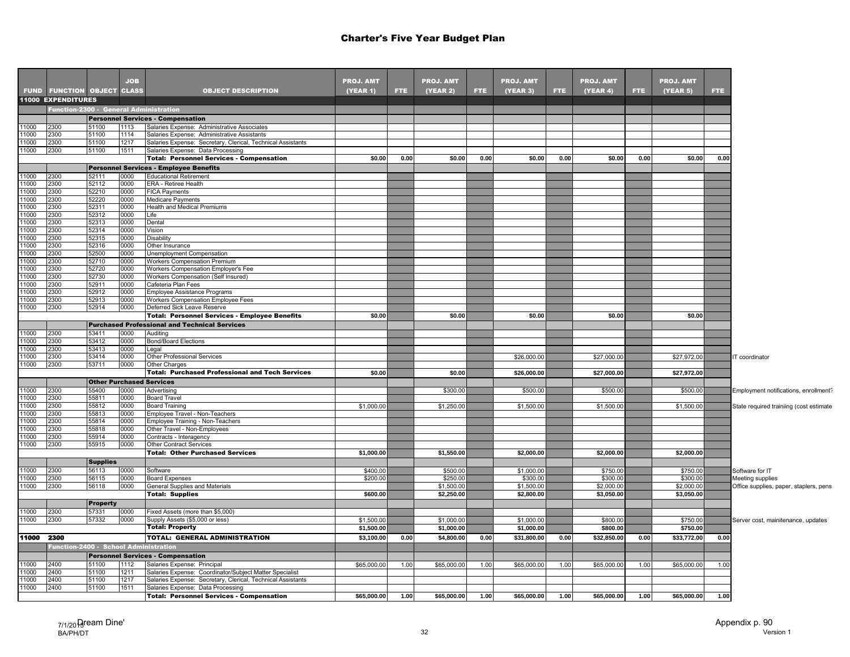|               |                                        |                                 | <b>JOB</b>   |                                                                                                                        | <b>PROJ. AMT</b> |      | <b>PROJ. AMT</b> |      | <b>PROJ. AMT</b> |      | <b>PROJ. AMT</b> |      | <b>PROJ. AMT</b> |      |                                         |
|---------------|----------------------------------------|---------------------------------|--------------|------------------------------------------------------------------------------------------------------------------------|------------------|------|------------------|------|------------------|------|------------------|------|------------------|------|-----------------------------------------|
|               | <b>FUND FUNCTION OBJECT CLASS</b>      |                                 |              | <b>OBJECT DESCRIPTION</b>                                                                                              | (YEAR 1)         | FTE. | (YEAR 2)         | FTE. | (YEAR 3)         | FTE. | (YEAR 4)         | FTE. | (YEAR 5)         | FTE. |                                         |
|               | <b>11000 EXPENDITURES</b>              |                                 |              |                                                                                                                        |                  |      |                  |      |                  |      |                  |      |                  |      |                                         |
|               | Function-2300 - General Administration |                                 |              |                                                                                                                        |                  |      |                  |      |                  |      |                  |      |                  |      |                                         |
|               |                                        |                                 |              | <b>Personnel Services - Compensation</b>                                                                               |                  |      |                  |      |                  |      |                  |      |                  |      |                                         |
| 11000         | 2300                                   | 51100                           | 1113         | Salaries Expense: Administrative Associates                                                                            |                  |      |                  |      |                  |      |                  |      |                  |      |                                         |
| 11000         | 2300                                   | 51100                           | 1114         | Salaries Expense: Administrative Assistants                                                                            |                  |      |                  |      |                  |      |                  |      |                  |      |                                         |
| 1000          | 2300                                   | 51100                           | 1217         | Salaries Expense: Secretary, Clerical, Technical Assistants                                                            |                  |      |                  |      |                  |      |                  |      |                  |      |                                         |
| 11000         | 2300                                   | 51100                           | 1511         | Salaries Expense: Data Processing                                                                                      |                  |      |                  |      |                  |      |                  |      |                  |      |                                         |
|               |                                        |                                 |              | <b>Total: Personnel Services - Compensation</b>                                                                        | \$0.00           | 0.00 | \$0.00           | 0.00 | \$0.00           | 0.00 | \$0.00           | 0.00 | \$0.00           | 0.00 |                                         |
|               |                                        |                                 |              | <b>Personnel Services - Employee Benefits</b>                                                                          |                  |      |                  |      |                  |      |                  |      |                  |      |                                         |
| 11000         | 2300                                   | 52111                           | 0000         | <b>Educational Retirement</b>                                                                                          |                  |      |                  |      |                  |      |                  |      |                  |      |                                         |
| 11000         | 2300                                   | 52112                           | 0000         | ERA - Retiree Health                                                                                                   |                  |      |                  |      |                  |      |                  |      |                  |      |                                         |
| 11000         | 2300                                   | 52210                           | 0000         | <b>FICA Payments</b>                                                                                                   |                  |      |                  |      |                  |      |                  |      |                  |      |                                         |
| 11000         | 2300                                   | 52220                           | 0000         | <b>Medicare Payments</b>                                                                                               |                  |      |                  |      |                  |      |                  |      |                  |      |                                         |
| 1000          | 2300                                   | 52311                           | 0000         | Health and Medical Premiums                                                                                            |                  |      |                  |      |                  |      |                  |      |                  |      |                                         |
| 11000         | 2300                                   | 52312                           | 0000         | Life                                                                                                                   |                  |      |                  |      |                  |      |                  |      |                  |      |                                         |
| 11000<br>1000 | 2300                                   | 52313                           | 0000         | Dental                                                                                                                 |                  |      |                  |      |                  |      |                  |      |                  |      |                                         |
| 11000         | 2300                                   | 52314                           | 0000<br>0000 | Vision                                                                                                                 |                  |      |                  |      |                  |      |                  |      |                  |      |                                         |
| 11000         | 2300<br>2300                           | 52315<br>52316                  | 0000         | Disability<br>Other Insurance                                                                                          |                  |      |                  |      |                  |      |                  |      |                  |      |                                         |
| 11000         | 2300                                   | 52500                           | 0000         | Unemployment Compensation                                                                                              |                  |      |                  |      |                  |      |                  |      |                  |      |                                         |
| 11000         | 2300                                   | 52710                           | 0000         | Workers Compensation Premium                                                                                           |                  |      |                  |      |                  |      |                  |      |                  |      |                                         |
| 11000         | 2300                                   | 52720                           | 0000         | Workers Compensation Employer's Fee                                                                                    |                  |      |                  |      |                  |      |                  |      |                  |      |                                         |
| 11000         | 2300                                   | 52730                           | 0000         | Workers Compensation (Self Insured)                                                                                    |                  |      |                  |      |                  |      |                  |      |                  |      |                                         |
| 11000         | 2300                                   | 52911                           | 0000         | Cafeteria Plan Fees                                                                                                    |                  |      |                  |      |                  |      |                  |      |                  |      |                                         |
| 11000         | 2300                                   | 52912                           | 0000         | Employee Assistance Programs                                                                                           |                  |      |                  |      |                  |      |                  |      |                  |      |                                         |
| 1000          | 2300                                   | 52913                           | 0000         | Workers Compensation Employee Fees                                                                                     |                  |      |                  |      |                  |      |                  |      |                  |      |                                         |
| 11000         | 2300                                   | 52914                           | 0000         | Deferred Sick Leave Reserve                                                                                            |                  |      |                  |      |                  |      |                  |      |                  |      |                                         |
|               |                                        |                                 |              | <b>Total: Personnel Services - Employee Benefits</b>                                                                   | \$0.00           |      | \$0.00           |      | \$0.00           |      | \$0.00           |      | \$0.00           |      |                                         |
|               |                                        |                                 |              | <b>Purchased Professional and Technical Services</b>                                                                   |                  |      |                  |      |                  |      |                  |      |                  |      |                                         |
| 11000         | 2300                                   | 53411                           | 0000         | Auditing                                                                                                               |                  |      |                  |      |                  |      |                  |      |                  |      |                                         |
| 11000         | 2300                                   | 53412                           | 0000         | <b>Bond/Board Elections</b>                                                                                            |                  |      |                  |      |                  |      |                  |      |                  |      |                                         |
| 11000         | 2300                                   | 53413                           | 0000         | Legal                                                                                                                  |                  |      |                  |      |                  |      |                  |      |                  |      |                                         |
| 1000          | 2300                                   | 53414                           | 0000         | <b>Other Professional Services</b>                                                                                     |                  |      |                  |      | \$26,000.00      |      | \$27,000.00      |      | \$27,972.00      |      | IT coordinator                          |
| 11000         | 2300                                   | 53711                           | 0000         | <b>Other Charges</b>                                                                                                   |                  |      |                  |      |                  |      |                  |      |                  |      |                                         |
|               |                                        |                                 |              | <b>Total: Purchased Professional and Tech Services</b>                                                                 | \$0.00           |      | \$0.00           |      | \$26,000.00      |      | \$27,000.00      |      | \$27,972.00      |      |                                         |
|               |                                        | <b>Other Purchased Services</b> |              |                                                                                                                        |                  |      |                  |      |                  |      |                  |      |                  |      |                                         |
| 11000         | 2300                                   | 55400                           | 0000         | Advertising                                                                                                            |                  |      | \$300.00         |      | \$500.00         |      | \$500.00         |      | \$500.00         |      | Employment notifications, enrollment?   |
| 11000         | 2300                                   | 55811                           | 0000         | <b>Board Travel</b>                                                                                                    |                  |      |                  |      |                  |      |                  |      |                  |      |                                         |
| 11000<br>1000 | 2300<br>2300                           | 55812<br>55813                  | 0000<br>0000 | <b>Board Training</b><br>Employee Travel - Non-Teachers                                                                | \$1,000.00       |      | \$1,250.00       |      | \$1,500.00       |      | \$1,500.00       |      | \$1,500.00       |      | State required trainiing (cost estimate |
| 11000         | 2300                                   | 55814                           | 0000         | Employee Training - Non-Teachers                                                                                       |                  |      |                  |      |                  |      |                  |      |                  |      |                                         |
| 11000         | 2300                                   | 55818                           | 0000         | Other Travel - Non-Employees                                                                                           |                  |      |                  |      |                  |      |                  |      |                  |      |                                         |
| 11000         | 2300                                   | 55914                           | 0000         | Contracts - Interagency                                                                                                |                  |      |                  |      |                  |      |                  |      |                  |      |                                         |
| 1000          | 2300                                   | 55915                           | 0000         | <b>Other Contract Services</b>                                                                                         |                  |      |                  |      |                  |      |                  |      |                  |      |                                         |
|               |                                        |                                 |              | <b>Total: Other Purchased Services</b>                                                                                 | \$1.000.00       |      | \$1.550.00       |      | \$2.000.00       |      | \$2.000.00       |      | \$2.000.00       |      |                                         |
|               |                                        | <b>Supplies</b>                 |              |                                                                                                                        |                  |      |                  |      |                  |      |                  |      |                  |      |                                         |
| 1000          | 2300                                   | 56113                           | 0000         | Software                                                                                                               | \$400.00         |      | \$500.00         |      | \$1,000.00       |      | \$750.00         |      | \$750.00         |      | Software for IT                         |
| 1000          | 2300                                   | 56115                           | 0000         | <b>Board Expenses</b>                                                                                                  | \$200.00         |      | \$250.00         |      | \$300.00         |      | \$300.00         |      | \$300.00         |      | Meeting supplies                        |
| 11000         | 2300                                   | 56118                           | 0000         | General Supplies and Materials                                                                                         |                  |      | \$1,500.00       |      | \$1,500.00       |      | \$2,000.00       |      | \$2,000.00       |      | Office supplies, paper, staplers, pens, |
|               |                                        |                                 |              | <b>Total: Supplies</b>                                                                                                 | \$600.00         |      | \$2,250.00       |      | \$2,800.00       |      | \$3,050.00       |      | \$3,050.00       |      |                                         |
|               |                                        | <b>Property</b>                 |              |                                                                                                                        |                  |      |                  |      |                  |      |                  |      |                  |      |                                         |
| 1000          | 2300                                   | 57331                           | 0000         | Fixed Assets (more than \$5,000)                                                                                       |                  |      |                  |      |                  |      |                  |      |                  |      |                                         |
| 11000         | 2300                                   | 57332                           | 0000         | Supply Assets (\$5,000 or less)                                                                                        | \$1,500.00       |      | \$1,000.00       |      | \$1,000.00       |      | \$800.00         |      | \$750.00         |      | Server cost, mainitenance, updates      |
|               |                                        |                                 |              | <b>Total: Property</b>                                                                                                 | \$1,500.00       |      | \$1,000.00       |      | \$1,000.00       |      | \$800.00         |      | \$750.00         |      |                                         |
| 11000         | 2300                                   |                                 |              | <b>TOTAL: GENERAL ADMINISTRATION</b>                                                                                   | \$3,100.00       | 0.00 | \$4,800.00       | 0.00 | \$31,800.00      | 0.00 | \$32,850.00      | 0.00 | \$33,772.00      | 0.00 |                                         |
|               |                                        |                                 |              |                                                                                                                        |                  |      |                  |      |                  |      |                  |      |                  |      |                                         |
|               | Function-2400 - School Administration  |                                 |              |                                                                                                                        |                  |      |                  |      |                  |      |                  |      |                  |      |                                         |
|               |                                        |                                 |              | <b>Personnel Services - Compensation</b>                                                                               |                  |      |                  |      |                  |      |                  |      |                  |      |                                         |
| 11000         | 2400                                   | 51100                           | 1112         | Salaries Expense: Principal                                                                                            | \$65,000.00      | 1.00 | \$65,000.00      | 1.00 | \$65,000.00      | 1.00 | \$65,000.00      | 1.00 | \$65,000.00      | 1.00 |                                         |
| 11000<br>1000 | 2400<br>2400                           | 51100<br>51100                  | 1211<br>1217 | Salaries Expense: Coordinator/Subject Matter Specialist<br>Salaries Expense: Secretary, Clerical, Technical Assistants |                  |      |                  |      |                  |      |                  |      |                  |      |                                         |
| 11000         | 2400                                   | 51100                           | 1511         | Salaries Expense: Data Processing                                                                                      |                  |      |                  |      |                  |      |                  |      |                  |      |                                         |
|               |                                        |                                 |              | <b>Total: Personnel Services - Compensation</b>                                                                        | \$65,000.00      | 1.00 | \$65,000.00      | 1.00 | \$65,000.00      | 1.00 | \$65,000.00      | 1.00 | \$65,000.00      | 1.00 |                                         |
|               |                                        |                                 |              |                                                                                                                        |                  |      |                  |      |                  |      |                  |      |                  |      |                                         |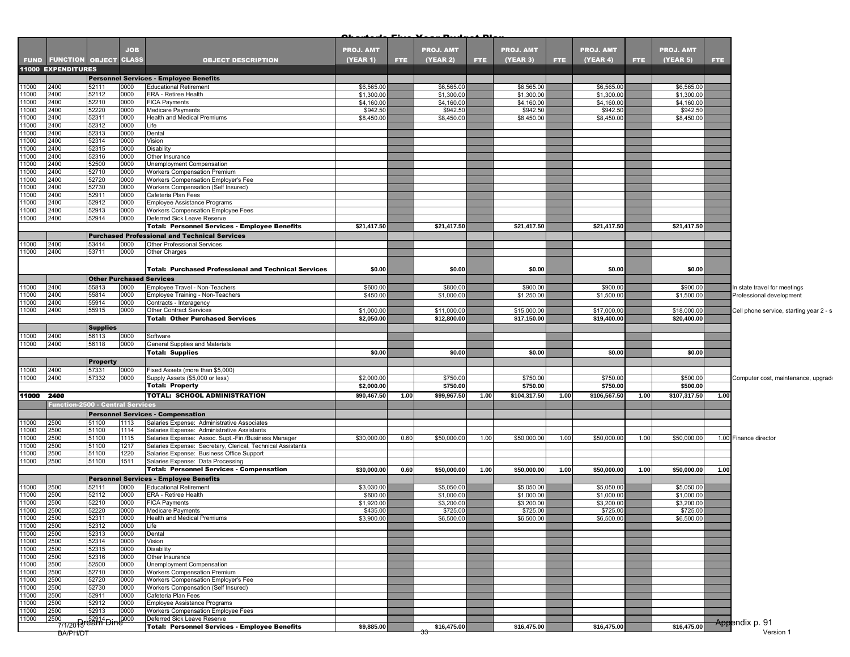|                |                                        |                                 | <b>JOB</b>   |                                                                            | <b>PROJ. AMT</b>         |      | <b>PROJ. AMT</b>         |      | <b>PROJ. AMT</b>         |      | <b>PROJ. AMT</b>         |      | <b>PROJ. AMT</b>         |            |                                         |
|----------------|----------------------------------------|---------------------------------|--------------|----------------------------------------------------------------------------|--------------------------|------|--------------------------|------|--------------------------|------|--------------------------|------|--------------------------|------------|-----------------------------------------|
|                | <b>FUND FUNCTION OBJECT CLASS</b>      |                                 |              | <b>OBJECT DESCRIPTION</b>                                                  | (YEAR 1)                 | FTE. | (YEAR 2)                 | FTE. | <b>(YEAR 3)</b>          | FTE. | (YEAR 4)                 | FTE. | (YEAR 5)                 | <b>FTE</b> |                                         |
|                | 11000 EXPENDITURES                     |                                 |              |                                                                            |                          |      |                          |      |                          |      |                          |      |                          |            |                                         |
|                |                                        |                                 |              | <b>Personnel Services - Employee Benefits</b>                              |                          |      |                          |      |                          |      |                          |      |                          |            |                                         |
| 11000          | 2400                                   | 52111                           | 0000         | <b>Educational Retirement</b>                                              |                          |      |                          |      |                          |      |                          |      |                          |            |                                         |
| 11000          | 2400                                   | 52112                           | 0000         | ERA - Retiree Health                                                       | \$6,565.00<br>\$1,300.00 |      | \$6,565.00<br>\$1,300.00 |      | \$6,565.00<br>\$1,300.00 |      | \$6,565.00<br>\$1,300.00 |      | \$6,565.00<br>\$1,300.00 |            |                                         |
| 11000          | 2400                                   | 52210                           | 0000         | <b>FICA Payments</b>                                                       | \$4,160.00               |      | \$4,160.00               |      | \$4,160.00               |      | \$4,160.00               |      | \$4,160.00               |            |                                         |
| 11000          | 2400                                   | 52220                           | 0000         | Medicare Payments                                                          | \$942.50                 |      | \$942.50                 |      | \$942.50                 |      | \$942.50                 |      | \$942.50                 |            |                                         |
| 11000          | 2400                                   | 52311                           | 0000         | Health and Medical Premiums                                                | \$8,450.00               |      | \$8,450.00               |      | \$8,450.00               |      | \$8,450.00               |      | \$8,450.00               |            |                                         |
| 11000          | 2400                                   | 52312                           | 0000         | Life                                                                       |                          |      |                          |      |                          |      |                          |      |                          |            |                                         |
| 11000          | 2400                                   | 52313                           | 0000         | Dental                                                                     |                          |      |                          |      |                          |      |                          |      |                          |            |                                         |
| 11000          | 2400                                   | 52314                           | 0000         | Vision                                                                     |                          |      |                          |      |                          |      |                          |      |                          |            |                                         |
| 11000          | 2400                                   | 52315                           | 0000         | <b>Disability</b>                                                          |                          |      |                          |      |                          |      |                          |      |                          |            |                                         |
| 11000          | 2400                                   | 52316                           | 0000         | Other Insurance                                                            |                          |      |                          |      |                          |      |                          |      |                          |            |                                         |
| 11000<br>11000 | 2400                                   | 52500                           | 0000         | Unemployment Compensation                                                  |                          |      |                          |      |                          |      |                          |      |                          |            |                                         |
| 11000          | 2400<br>2400                           | 52710<br>52720                  | 0000<br>0000 | <b>Workers Compensation Premium</b><br>Workers Compensation Employer's Fee |                          |      |                          |      |                          |      |                          |      |                          |            |                                         |
| 11000          | 2400                                   | 52730                           | 0000         | <b>Workers Compensation (Self Insured)</b>                                 |                          |      |                          |      |                          |      |                          |      |                          |            |                                         |
| 11000          | 2400                                   | 52911                           | 0000         | Cafeteria Plan Fees                                                        |                          |      |                          |      |                          |      |                          |      |                          |            |                                         |
| 11000          | 2400                                   | 52912                           | 0000         | Employee Assistance Programs                                               |                          |      |                          |      |                          |      |                          |      |                          |            |                                         |
| 11000          | 2400                                   | 52913                           | 0000         | Workers Compensation Employee Fees                                         |                          |      |                          |      |                          |      |                          |      |                          |            |                                         |
| 11000          | 2400                                   | 52914                           | 0000         | Deferred Sick Leave Reserve                                                |                          |      |                          |      |                          |      |                          |      |                          |            |                                         |
|                |                                        |                                 |              | <b>Total: Personnel Services - Employee Benefits</b>                       | \$21,417.50              |      | \$21,417.50              |      | \$21,417.50              |      | \$21,417.50              |      | \$21,417.50              |            |                                         |
|                |                                        |                                 |              | <b>Purchased Professional and Technical Services</b>                       |                          |      |                          |      |                          |      |                          |      |                          |            |                                         |
| 11000          | 2400                                   | 53414                           | 0000         | Other Professional Services                                                |                          |      |                          |      |                          |      |                          |      |                          |            |                                         |
| 11000          | 2400                                   | 53711                           | 0000         | Other Charges                                                              |                          |      |                          |      |                          |      |                          |      |                          |            |                                         |
|                |                                        |                                 |              |                                                                            |                          |      |                          |      |                          |      |                          |      |                          |            |                                         |
|                |                                        |                                 |              | <b>Total: Purchased Professional and Technical Services</b>                | \$0.00                   |      | \$0.00                   |      | \$0.00                   |      | \$0.00                   |      | \$0.00                   |            |                                         |
|                |                                        | <b>Other Purchased Services</b> |              |                                                                            |                          |      |                          |      |                          |      |                          |      |                          |            |                                         |
| 11000          | 2400                                   | 55813                           | 0000         | Employee Travel - Non-Teachers                                             | \$600.00                 |      | \$800.00                 |      | \$900.00                 |      | \$900.00                 |      | \$900.00                 |            | In state travel for meetings            |
| 11000          | 2400                                   | 55814                           | 0000         | Employee Training - Non-Teachers                                           | \$450.00                 |      | \$1,000.00               |      | \$1,250.00               |      | \$1,500.00               |      | \$1,500.00               |            | Professional development                |
| 11000          | 2400                                   | 55914                           | 0000         | Contracts - Interagency                                                    |                          |      |                          |      |                          |      |                          |      |                          |            |                                         |
| 11000          | 2400                                   | 55915                           | 0000         | Other Contract Services                                                    | \$1,000.00               |      | \$11,000.00              |      | \$15,000.00              |      | \$17,000.00              |      | \$18,000.00              |            | Cell phone service, starting year 2 - s |
|                |                                        |                                 |              | <b>Total: Other Purchased Services</b>                                     | \$2,050.00               |      | \$12,800.00              |      | \$17,150.00              |      | \$19,400.00              |      | \$20,400.00              |            |                                         |
|                |                                        | <b>Supplies</b>                 |              |                                                                            |                          |      |                          |      |                          |      |                          |      |                          |            |                                         |
| 11000          | 2400                                   | 56113                           | 0000         | Software                                                                   |                          |      |                          |      |                          |      |                          |      |                          |            |                                         |
| 11000          | 2400                                   | 56118                           | 0000         | General Supplies and Materials                                             |                          |      |                          |      |                          |      |                          |      |                          |            |                                         |
|                |                                        |                                 |              | <b>Total: Supplies</b>                                                     | \$0.00                   |      | \$0.00                   |      | \$0.00                   |      | \$0.00                   |      | \$0.00                   |            |                                         |
|                |                                        | <b>Property</b>                 |              |                                                                            |                          |      |                          |      |                          |      |                          |      |                          |            |                                         |
| 11000          | 2400                                   | 57331                           | 0000         | Fixed Assets (more than \$5,000)                                           |                          |      |                          |      |                          |      |                          |      |                          |            |                                         |
| 11000          | 2400                                   | 57332                           | 0000         | Supply Assets (\$5,000 or less)                                            | \$2,000.00               |      | \$750.00                 |      | \$750.00                 |      | \$750.00                 |      | \$500.00                 |            | Computer cost, maintenance, upgrade     |
|                |                                        |                                 |              | <b>Total: Property</b>                                                     | \$2,000.00               |      | \$750.00                 |      | \$750.00                 |      | \$750.00                 |      | \$500.00                 |            |                                         |
| 11000 2400     |                                        |                                 |              | TOTAL: SCHOOL ADMINISTRATION                                               | \$90,467.50              | 1.00 | \$99,967.50              | 1.00 | \$104,317.50             | 1.00 | \$106,567.50             | 1.00 | \$107,317.50             | 1.00       |                                         |
|                | Function-2500 - Central Services       |                                 |              |                                                                            |                          |      |                          |      |                          |      |                          |      |                          |            |                                         |
|                |                                        |                                 |              | <b>Personnel Services - Compensation</b>                                   |                          |      |                          |      |                          |      |                          |      |                          |            |                                         |
| 11000          | 2500                                   | 51100                           | 1113         | Salaries Expense: Administrative Associates                                |                          |      |                          |      |                          |      |                          |      |                          |            |                                         |
| 11000          | 2500                                   | 51100                           | 1114         | Salaries Expense: Administrative Assistants                                |                          |      |                          |      |                          |      |                          |      |                          |            |                                         |
| 11000          | 2500                                   | 51100                           | 1115         | Salaries Expense: Assoc. Supt.-Fin./Business Manager                       | \$30,000.00              | 0.60 | \$50,000.00              | 1.00 | \$50,000.00              | 1.00 | \$50,000.00              | 1.00 | \$50,000.00              |            | 1.00 Finance director                   |
| 11000          | 2500                                   | 51100                           | 1217         | Salaries Expense: Secretary, Clerical, Technical Assistants                |                          |      |                          |      |                          |      |                          |      |                          |            |                                         |
| 11000          | 2500                                   | 51100                           | 1220         | Salaries Expense: Business Office Support                                  |                          |      |                          |      |                          |      |                          |      |                          |            |                                         |
| 11000          | 2500                                   | 51100                           | 1511         | Salaries Expense: Data Processing                                          |                          |      |                          |      |                          |      |                          |      |                          |            |                                         |
|                |                                        |                                 |              | <b>Total: Personnel Services - Compensation</b>                            | \$30,000.00              | 0.60 | \$50,000.00              | 1.00 | \$50,000.00              | 1.00 | \$50,000.00              | 1.00 | \$50,000.00              | 1.00       |                                         |
|                |                                        |                                 |              | <b>Personnel Services - Employee Benefits</b>                              |                          |      |                          |      |                          |      |                          |      |                          |            |                                         |
| 11000<br>11000 | 2500                                   | 52111                           | 0000         | <b>Educational Retirement</b>                                              | \$3,030.00               |      | \$5,050.00               |      | \$5,050.00               |      | \$5,050.00               |      | \$5,050.00               |            |                                         |
| 11000          | 2500<br>2500                           | 52112<br>52210                  | 0000<br>0000 | ERA - Retiree Health<br><b>FICA Payments</b>                               | \$600.00<br>\$1,920.00   |      | \$1,000.00<br>\$3,200.00 |      | \$1,000.00<br>\$3,200.00 |      | \$1,000.00<br>\$3,200.00 |      | \$1,000.00<br>\$3,200.00 |            |                                         |
| 11000          | 2500                                   | 52220                           | 0000         | Medicare Payments                                                          | \$435.00                 |      | \$725.00                 |      | \$725.00                 |      | \$725.00                 |      | \$725.00                 |            |                                         |
|                | 2500                                   | 52311                           | 0000         | Health and Medical Premiums                                                | \$3,900.00               |      | \$6,500.00               |      | \$6,500.00               |      | \$6,500.00               |      | \$6,500.00               |            |                                         |
| 11000<br>11000 | 2500                                   | 52312                           | 0000         | Life                                                                       |                          |      |                          |      |                          |      |                          |      |                          |            |                                         |
| 11000          | 2500                                   | 52313                           | 0000         | Dental                                                                     |                          |      |                          |      |                          |      |                          |      |                          |            |                                         |
|                | 2500                                   | 52314                           | 0000         | Vision                                                                     |                          |      |                          |      |                          |      |                          |      |                          |            |                                         |
| 11000<br>11000 | 2500                                   | 52315                           | 0000         | Disability                                                                 |                          |      |                          |      |                          |      |                          |      |                          |            |                                         |
| 11000          | 2500                                   | 52316                           | 0000         | Other Insurance                                                            |                          |      |                          |      |                          |      |                          |      |                          |            |                                         |
| 11000          | 2500                                   | 52500                           | 0000         | Unemployment Compensation                                                  |                          |      |                          |      |                          |      |                          |      |                          |            |                                         |
| 11000          | 2500                                   | 52710                           | 0000         | Workers Compensation Premium                                               |                          |      |                          |      |                          |      |                          |      |                          |            |                                         |
| 11000<br>11000 | 2500                                   | 52720                           | 0000         | Workers Compensation Employer's Fee                                        |                          |      |                          |      |                          |      |                          |      |                          |            |                                         |
| 11000          | 2500<br>2500                           | 52730<br>52911                  | 0000<br>0000 | Workers Compensation (Self Insured)<br>Cafeteria Plan Fees                 |                          |      |                          |      |                          |      |                          |      |                          |            |                                         |
| 11000          | 2500                                   | 52912                           | 0000         | Employee Assistance Programs                                               |                          |      |                          |      |                          |      |                          |      |                          |            |                                         |
| 11000          | 2500                                   | 52913                           | 0000         | Workers Compensation Employee Fees                                         |                          |      |                          |      |                          |      |                          |      |                          |            |                                         |
| 11000          | 2500<br>100 52914<br>7/1/20 Paream Din |                                 | 0000         | Deferred Sick Leave Reserve                                                |                          |      |                          |      |                          |      |                          |      |                          |            |                                         |
|                |                                        |                                 |              | <b>Total: Personnel Services - Employee Benefits</b>                       | \$9,885.00               |      | \$16,475.00              |      | \$16,475.00              |      | \$16,475.00              |      | \$16,475.00              |            | Appendix p. 91                          |
|                | BA/PH/DT                               |                                 |              |                                                                            |                          |      |                          |      |                          |      |                          |      |                          |            | Version 1                               |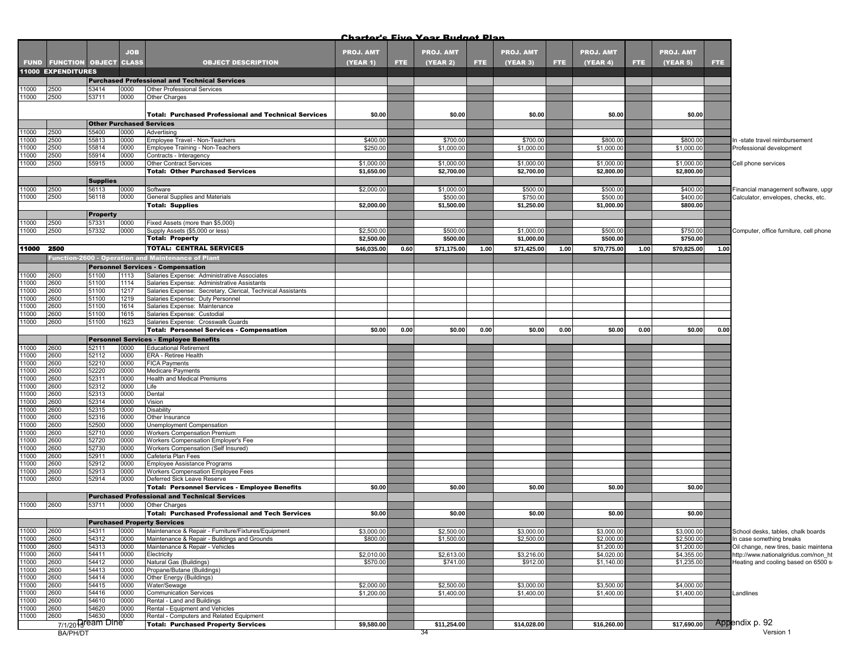|                |                                   |                 | <b>JOB</b>   |                                                                                            | <b>PROJ. AMT</b> |      | <b>PROJ. AMT</b> |      | <b>PROJ. AMT</b> |      | <b>PROJ. AMT</b> |      | <b>PROJ. AMT</b> |      |                                        |
|----------------|-----------------------------------|-----------------|--------------|--------------------------------------------------------------------------------------------|------------------|------|------------------|------|------------------|------|------------------|------|------------------|------|----------------------------------------|
|                | <b>FUND FUNCTION OBJECT CLASS</b> |                 |              | <b>OBJECT DESCRIPTION</b>                                                                  | <b>(YEAR 1)</b>  | FTE. | (YEAR 2)         | FTE. | (YEAR 3)         | FTE. | (YEAR 4)         | FTE. | (YEAR 5)         | FTE. |                                        |
|                | <b>11000 EXPENDITURES</b>         |                 |              |                                                                                            |                  |      |                  |      |                  |      |                  |      |                  |      |                                        |
|                |                                   |                 |              | <b>Purchased Professional and Technical Services</b>                                       |                  |      |                  |      |                  |      |                  |      |                  |      |                                        |
| 11000          | 2500                              | 53414           | 0000         | Other Professional Services                                                                |                  |      |                  |      |                  |      |                  |      |                  |      |                                        |
| 11000          | 2500                              | 53711           | 0000         | Other Charges                                                                              |                  |      |                  |      |                  |      |                  |      |                  |      |                                        |
|                |                                   |                 |              | <b>Total: Purchased Professional and Technical Services</b>                                | \$0.00           |      | \$0.00           |      | \$0.00           |      | \$0.00           |      | \$0.00           |      |                                        |
|                |                                   |                 |              | <b>Other Purchased Services</b>                                                            |                  |      |                  |      |                  |      |                  |      |                  |      |                                        |
| 11000          | 2500                              | 55400           | 0000         | Advertising                                                                                |                  |      |                  |      |                  |      |                  |      |                  |      |                                        |
| 11000          | 2500                              | 55813           | 0000         | Employee Travel - Non-Teachers                                                             | \$400.00         |      | \$700.00         |      | \$700.00         |      | \$800.00         |      | \$800.00         |      | In -state travel reimbursement         |
| 11000          | 2500                              | 55814           | 0000         | Employee Training - Non-Teachers                                                           | \$250.00         |      | \$1,000.00       |      | \$1,000.00       |      | \$1,000.00       |      | \$1,000.0        |      | Professional development               |
| 11000<br>11000 | 2500<br>2500                      | 55914<br>55915  | 0000<br>0000 | Contracts - Interagency<br>Other Contract Services                                         | \$1,000.0        |      | \$1,000.00       |      | \$1,000.00       |      | \$1,000.00       |      | \$1,000.0        |      | Cell phone services                    |
|                |                                   |                 |              | <b>Total: Other Purchased Services</b>                                                     | \$1,650.00       |      | \$2,700.00       |      | \$2,700.00       |      | \$2,800.00       |      | \$2,800.00       |      |                                        |
|                |                                   | <b>Supplies</b> |              |                                                                                            |                  |      |                  |      |                  |      |                  |      |                  |      |                                        |
| 11000          | 2500                              | 56113           | 0000         | Software                                                                                   | \$2,000.00       |      | \$1,000.00       |      | \$500.00         |      | \$500.00         |      | \$400.00         |      | Financial management software, upgr    |
| 11000          | 2500                              | 56118           | 0000         | General Supplies and Materials                                                             |                  |      | \$500.00         |      | \$750.00         |      | \$500.00         |      | \$400.00         |      | Calculator, envelopes, checks, etc.    |
|                |                                   |                 |              | <b>Total: Supplies</b>                                                                     | \$2,000.00       |      | \$1,500.00       |      | \$1,250.00       |      | \$1,000.00       |      | \$800.00         |      |                                        |
|                |                                   | <b>Property</b> |              |                                                                                            |                  |      |                  |      |                  |      |                  |      |                  |      |                                        |
| 11000          | 2500                              | 57331           | 0000         | Fixed Assets (more than \$5,000)                                                           |                  |      |                  |      |                  |      |                  |      |                  |      |                                        |
| 11000          | 2500                              | 57332           | 0000         | Supply Assets (\$5,000 or less)                                                            | \$2,500.0        |      | \$500.00         |      | \$1,000.00       |      | \$500.00         |      | \$750.00         |      | Computer, office furniture, cell phone |
|                |                                   |                 |              | <b>Total: Property</b>                                                                     | \$2,500.00       |      | \$500.00         |      | \$1,000.00       |      | \$500.00         |      | \$750.00         |      |                                        |
| 11000 2500     |                                   |                 |              | <b>TOTAL: CENTRAL SERVICES</b>                                                             | \$46,035.00      | 0.60 | \$71,175.00      | 1.00 | \$71,425.00      | 1.00 | \$70,775.00      | 1.00 | \$70,825.00      | 1.00 |                                        |
|                |                                   |                 |              | <b>Inction-2600 - Operation and Maintenance of Plant</b>                                   |                  |      |                  |      |                  |      |                  |      |                  |      |                                        |
| 11000          |                                   | 51100           | 1113         | <b>Personnel Services - Compensation</b>                                                   |                  |      |                  |      |                  |      |                  |      |                  |      |                                        |
| 11000          | 2600<br>2600                      | 51100           | 1114         | Salaries Expense: Administrative Associates<br>Salaries Expense: Administrative Assistants |                  |      |                  |      |                  |      |                  |      |                  |      |                                        |
| 11000          | 2600                              | 51100           | 1217         | Salaries Expense: Secretary, Clerical, Technical Assistants                                |                  |      |                  |      |                  |      |                  |      |                  |      |                                        |
| 11000          | 2600                              | 51100           | 1219         | Salaries Expense: Duty Personnel                                                           |                  |      |                  |      |                  |      |                  |      |                  |      |                                        |
| 11000          | 2600                              | 51100           | 1614         | Salaries Expense: Maintenance                                                              |                  |      |                  |      |                  |      |                  |      |                  |      |                                        |
| 11000          | 2600                              | 51100           | 1615         | Salaries Expense: Custodial                                                                |                  |      |                  |      |                  |      |                  |      |                  |      |                                        |
| 11000          | 2600                              | 51100           | 1623         | Salaries Expense: Crosswalk Guards<br><b>Total: Personnel Services - Compensation</b>      | \$0.00           | 0.00 | \$0.00           | 0.00 | \$0.00           | 0.00 | \$0.00           | 0.00 | \$0.00           | 0.00 |                                        |
|                |                                   |                 |              | <b>Personnel Services - Employee Benefits</b>                                              |                  |      |                  |      |                  |      |                  |      |                  |      |                                        |
| 11000          | 2600                              | 52111           | 0000         | <b>Educational Retirement</b>                                                              |                  |      |                  |      |                  |      |                  |      |                  |      |                                        |
| 11000          | 2600                              | 52112           | 0000         | ERA - Retiree Health                                                                       |                  |      |                  |      |                  |      |                  |      |                  |      |                                        |
| 11000          | 2600                              | 52210           | 0000         | <b>FICA Payments</b>                                                                       |                  |      |                  |      |                  |      |                  |      |                  |      |                                        |
| 11000          | 2600                              | 52220           | 0000         | <b>Medicare Payments</b>                                                                   |                  |      |                  |      |                  |      |                  |      |                  |      |                                        |
| 11000          | 2600                              | 52311           | 0000         | Health and Medical Premiums                                                                |                  |      |                  |      |                  |      |                  |      |                  |      |                                        |
| 11000<br>11000 | 2600<br>2600                      | 52312<br>52313  | 0000<br>0000 | Life<br>Dental                                                                             |                  |      |                  |      |                  |      |                  |      |                  |      |                                        |
| 11000          | 2600                              | 52314           | 0000         | Vision                                                                                     |                  |      |                  |      |                  |      |                  |      |                  |      |                                        |
| 11000          | 2600                              | 52315           | 0000         | Disability                                                                                 |                  |      |                  |      |                  |      |                  |      |                  |      |                                        |
| 11000          | 2600                              | 52316           | 0000         | Other Insurance                                                                            |                  |      |                  |      |                  |      |                  |      |                  |      |                                        |
| 11000          | 2600                              | 52500           | 0000         | Unemployment Compensation                                                                  |                  |      |                  |      |                  |      |                  |      |                  |      |                                        |
| 11000<br>11000 | 2600<br>2600                      | 52710           | 0000<br>0000 | <b>Workers Compensation Premium</b><br>Workers Compensation Employer's Fee                 |                  |      |                  |      |                  |      |                  |      |                  |      |                                        |
| 11000          | 2600                              | 52720<br>52730  | 0000         | Workers Compensation (Self Insured)                                                        |                  |      |                  |      |                  |      |                  |      |                  |      |                                        |
| 11000          | 2600                              | 52911           | 0000         | Cafeteria Plan Fees                                                                        |                  |      |                  |      |                  |      |                  |      |                  |      |                                        |
| 1000           | 2600                              | 52912           | 0000         | Employee Assistance Programs                                                               |                  |      |                  |      |                  |      |                  |      |                  |      |                                        |
| 11000          | 2600                              | 52913           | 0000         | Workers Compensation Employee Fees                                                         |                  |      |                  |      |                  |      |                  |      |                  |      |                                        |
| 11000          | 2600                              | 52914           | 0000         | Deferred Sick Leave Reserve                                                                |                  |      |                  |      |                  |      |                  |      |                  |      |                                        |
|                |                                   |                 |              | Total: Personnel Services - Employee Benefits                                              | \$0.00           |      | \$0.00           |      | \$0.00           |      | \$0.00           |      | \$0.00           |      |                                        |
| 11000          | 2600                              | 53711           | 0000         | <b>Purchased Professional and Technical Services</b><br>Other Charges                      |                  |      |                  |      |                  |      |                  |      |                  |      |                                        |
|                |                                   |                 |              | Total: Purchased Professional and Tech Services                                            | \$0.00           |      | \$0.00           |      | \$0.00           |      | \$0.00           |      | \$0.00           |      |                                        |
|                |                                   |                 |              | <b>Purchased Property Services</b>                                                         |                  |      |                  |      |                  |      |                  |      |                  |      |                                        |
| 11000          | 2600                              | 54311           | 0000         | Maintenance & Repair - Furniture/Fixtures/Equipment                                        | \$3,000.00       |      | \$2,500.00       |      | \$3,000.00       |      | \$3,000.00       |      | \$3,000.00       |      | School desks, tables, chalk boards     |
| 11000          | 2600                              | 54312           | 0000         | Maintenance & Repair - Buildings and Grounds                                               | \$800.00         |      | \$1,500.00       |      | \$2,500.00       |      | \$2,000.00       |      | \$2,500.00       |      | In case something breaks               |
| 11000          | 2600                              | 54313           | 0000         | Maintenance & Repair - Vehicles                                                            |                  |      |                  |      |                  |      | \$1,200.00       |      | \$1,200.00       |      | Oil change, new tires, basic maintena  |
| 11000          | 2600                              | 54411           | 0000         | Electricity                                                                                | \$2,010.00       |      | \$2,613.00       |      | \$3,216.00       |      | \$4,020.00       |      | \$4,355.00       |      | http://www.nationalgridus.com/non_ht   |
| 11000<br>11000 | 2600<br>2600                      | 54412<br>54413  | 0000<br>0000 | Natural Gas (Buildings)<br>Propane/Butane (Buildings)                                      | \$570.00         |      | \$741.00         |      | \$912.00         |      | \$1,140.00       |      | \$1,235.00       |      | Heating and cooling based on 6500 si   |
| 11000          | 2600                              | 54414           | 0000         | Other Energy (Buildings)                                                                   |                  |      |                  |      |                  |      |                  |      |                  |      |                                        |
| 11000          | 2600                              | 54415           | 0000         | Water/Sewage                                                                               | \$2,000.00       |      | \$2,500.00       |      | \$3,000.00       |      | \$3,500.00       |      | \$4,000.00       |      |                                        |
| 11000          | 2600                              | 54416           | 0000         | <b>Communication Services</b>                                                              | \$1,200.00       |      | \$1,400.00       |      | \$1,400.00       |      | \$1,400.00       |      | \$1,400.00       |      | Landlines                              |
| 11000          | 2600                              | 54610           | 0000         | Rental - Land and Buildings                                                                |                  |      |                  |      |                  |      |                  |      |                  |      |                                        |
| 11000<br>11000 | 2600<br>2600                      | 54620<br>54630  | 0000<br>0000 | Rental - Equipment and Vehicles                                                            |                  |      |                  |      |                  |      |                  |      |                  |      |                                        |
|                | 7/1/20 Pream Dine <sup>*</sup>    |                 |              | Rental - Computers and Related Equipment<br><b>Total: Purchased Property Services</b>      | \$9,580.00       |      | \$11,254.00      |      | \$14,028.00      |      | \$16,260.00      |      |                  |      | \$17,690.00 Appendix p. 92             |
|                |                                   |                 |              |                                                                                            |                  |      |                  |      |                  |      |                  |      |                  |      |                                        |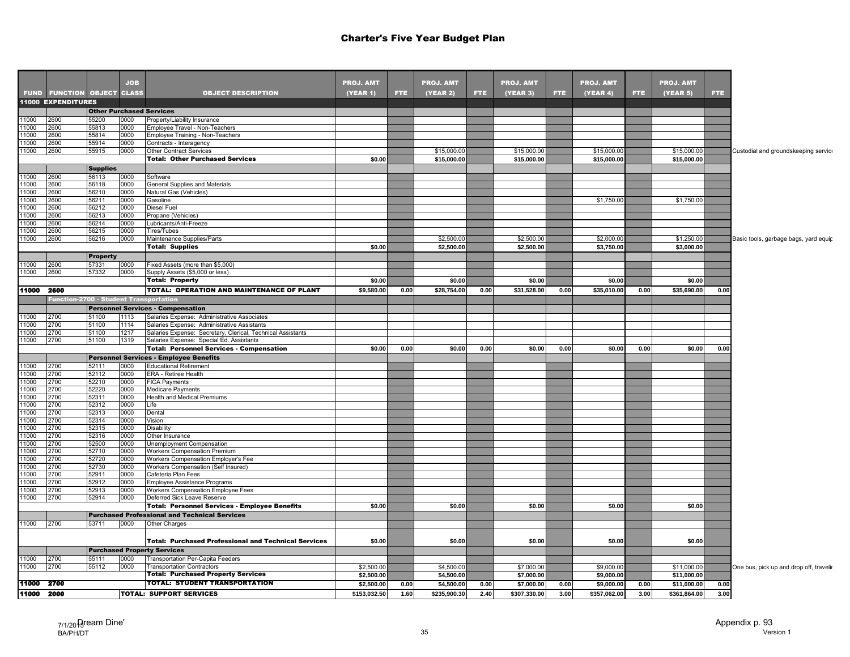|                                                             |                    |                                                 | <b>JOB</b>   |                                                                        | <b>PROJ. AMT</b>           |              | <b>PROJ. AMT</b>           |              | <b>PROJ. AMT</b>           |              | <b>PROJ. AMT</b>           |              | <b>PROJ. AMT</b>            |              |                                         |
|-------------------------------------------------------------|--------------------|-------------------------------------------------|--------------|------------------------------------------------------------------------|----------------------------|--------------|----------------------------|--------------|----------------------------|--------------|----------------------------|--------------|-----------------------------|--------------|-----------------------------------------|
|                                                             |                    | FUND FUNCTION OBJECT CLASS                      |              | <b>OBJECT DESCRIPTION</b>                                              | (YEAR 1)                   | <b>FTE</b>   | (YEAR 2)                   | <b>FTE</b>   | (YEAR 3)                   | <b>FTE</b>   | (YEAR 4)                   | FTE.         | (YEAR 5)                    | <b>FTE</b>   |                                         |
|                                                             | 11000 EXPENDITURES |                                                 |              |                                                                        |                            |              |                            |              |                            |              |                            |              |                             |              |                                         |
|                                                             |                    |                                                 |              | <b>Other Purchased Services</b>                                        |                            |              |                            |              |                            |              |                            |              |                             |              |                                         |
| 11000                                                       | 2600               | 55200                                           | 0000         | Property/Liability Insurance                                           |                            |              |                            |              |                            |              |                            |              |                             |              |                                         |
| 11000                                                       | 2600               | 55813                                           | 0000         | Employee Travel - Non-Teachers                                         |                            |              |                            |              |                            |              |                            |              |                             |              |                                         |
| 11000                                                       | 2600               | 55814                                           | 0000         | Employee Training - Non-Teachers                                       |                            |              |                            |              |                            |              |                            |              |                             |              |                                         |
| 11000                                                       | 2600               | 55914                                           | 0000         | Contracts - Interagency                                                |                            |              |                            |              |                            |              |                            |              |                             |              |                                         |
| 11000                                                       | 2600               | 55915                                           | 0000         | Other Contract Services                                                |                            |              | \$15,000.00                |              | \$15,000.00                |              | \$15,000.00                |              | \$15,000.00                 |              | Custodial and groundskeeping service    |
|                                                             |                    |                                                 |              | <b>Total: Other Purchased Services</b>                                 | \$0.00                     |              | \$15,000.00                |              | \$15,000.00                |              | \$15,000.00                |              | \$15,000.00                 |              |                                         |
|                                                             |                    | <b>Supplies</b>                                 |              |                                                                        |                            |              |                            |              |                            |              |                            |              |                             |              |                                         |
| 11000                                                       | 2600               | 56113                                           | 0000         | Software                                                               |                            |              |                            |              |                            |              |                            |              |                             |              |                                         |
| 11000                                                       | 2600               | 56118                                           | 0000         | General Supplies and Materials                                         |                            |              |                            |              |                            |              |                            |              |                             |              |                                         |
|                                                             | 2600               | 56210                                           | 0000         | Natural Gas (Vehicles)                                                 |                            |              |                            |              |                            |              |                            |              |                             |              |                                         |
| 11000<br>11000                                              | 2600               | 56211                                           | 0000         | Gasoline                                                               |                            |              |                            |              |                            |              | \$1,750.00                 |              | \$1,750.00                  |              |                                         |
| $\frac{11000}{11000}$                                       | 2600               | 56212                                           | 0000         | <b>Diesel Fuel</b>                                                     |                            |              |                            |              |                            |              |                            |              |                             |              |                                         |
| 11000                                                       | 2600               | 56213                                           | 0000         | Propane (Vehicles)                                                     |                            |              |                            |              |                            |              |                            |              |                             |              |                                         |
| 11000                                                       | 2600               | 56214                                           | 0000         | Lubricants/Anti-Freeze                                                 |                            |              |                            |              |                            |              |                            |              |                             |              |                                         |
| 11000                                                       | 2600               | 56215                                           | 0000         | Tires/Tubes                                                            |                            |              |                            |              |                            |              |                            |              |                             |              |                                         |
| 11000                                                       | 2600               | 56216                                           | 0000         | Maintenance Supplies/Parts                                             |                            |              | \$2,500.00                 |              | \$2,500.00                 |              | \$2,000.00                 |              | \$1,250.00                  |              | Basic tools, garbage bags, yard equip   |
|                                                             |                    |                                                 |              | <b>Total: Supplies</b>                                                 | \$0.00                     |              | \$2,500.00                 |              | \$2,500.00                 |              | \$3,750.00                 |              | \$3,000.00                  |              |                                         |
|                                                             |                    | <b>Property</b>                                 |              |                                                                        |                            |              |                            |              |                            |              |                            |              |                             |              |                                         |
| 11000                                                       | 2600               | 57331                                           | 0000         | Fixed Assets (more than \$5,000)                                       |                            |              |                            |              |                            |              |                            |              |                             |              |                                         |
| 11000                                                       | 2600               | 57332                                           | 0000         | Supply Assets (\$5,000 or less)                                        |                            |              |                            |              |                            |              |                            |              |                             |              |                                         |
|                                                             |                    |                                                 |              | <b>Total: Property</b>                                                 | \$0.00                     |              | \$0.00                     |              | \$0.00                     |              | \$0.00                     |              | \$0.00                      |              |                                         |
| 11000 2600                                                  |                    |                                                 |              | TOTAL: OPERATION AND MAINTENANCE OF PLANT                              | \$9,580.00                 | 0.00         | \$28,754.00                | 0.00         | \$31,528.00                | 0.00         | \$35,010.00                | 0.00         | \$35,690.00                 | 0.00         |                                         |
|                                                             |                    | <u> Function-2</u> 700 - Student Transportation |              |                                                                        |                            |              |                            |              |                            |              |                            |              |                             |              |                                         |
|                                                             |                    |                                                 |              |                                                                        |                            |              |                            |              |                            |              |                            |              |                             |              |                                         |
|                                                             |                    |                                                 |              | <b>Personnel Services - Compensation</b>                               |                            |              |                            |              |                            |              |                            |              |                             |              |                                         |
| 11000<br>11000                                              | 2700               | 51100                                           | 1113         | Salaries Expense: Administrative Associates                            |                            |              |                            |              |                            |              |                            |              |                             |              |                                         |
| 11000                                                       | 2700               | 51100                                           | 1114         | Salaries Expense: Administrative Assistants                            |                            |              |                            |              |                            |              |                            |              |                             |              |                                         |
|                                                             | 2700<br>2700       | 51100                                           | 1217         | Salaries Expense: Secretary, Clerical, Technical Assistants            |                            |              |                            |              |                            |              |                            |              |                             |              |                                         |
| 11000                                                       |                    | 51100                                           | 1319         | Salaries Expense: Special Ed. Assistants                               |                            |              |                            |              |                            | 0.00         | \$0.00                     | 0.00         | \$0.00                      | 0.00         |                                         |
|                                                             |                    |                                                 |              |                                                                        |                            |              |                            |              |                            |              |                            |              |                             |              |                                         |
|                                                             |                    |                                                 |              | <b>Total: Personnel Services - Compensation</b>                        | \$0.00                     | 0.00         | \$0.00                     | 0.00         | \$0.00                     |              |                            |              |                             |              |                                         |
|                                                             |                    |                                                 |              | <b>Personnel Services - Employee Benefits</b>                          |                            |              |                            |              |                            |              |                            |              |                             |              |                                         |
|                                                             | 2700               | 52111                                           | 0000         | <b>Educational Retirement</b>                                          |                            |              |                            |              |                            |              |                            |              |                             |              |                                         |
|                                                             | 2700               | 52112                                           | 0000         | <b>ERA - Retiree Health</b>                                            |                            |              |                            |              |                            |              |                            |              |                             |              |                                         |
|                                                             | 2700               | 52210                                           | 0000         | <b>FICA Payments</b>                                                   |                            |              |                            |              |                            |              |                            |              |                             |              |                                         |
|                                                             | 2700               | 52220                                           | 0000         | <b>Medicare Payments</b>                                               |                            |              |                            |              |                            |              |                            |              |                             |              |                                         |
|                                                             | 2700               | 52311                                           | 0000         | Health and Medical Premiums                                            |                            |              |                            |              |                            |              |                            |              |                             |              |                                         |
|                                                             | 2700               | 52312                                           | 0000         | Life                                                                   |                            |              |                            |              |                            |              |                            |              |                             |              |                                         |
|                                                             | 2700               | 52313                                           | 0000         | Dental                                                                 |                            |              |                            |              |                            |              |                            |              |                             |              |                                         |
|                                                             | 2700<br>2700       | 52314<br>52315                                  | 0000<br>0000 | Vision<br>Disability                                                   |                            |              |                            |              |                            |              |                            |              |                             |              |                                         |
| 11000<br>11000<br>11000<br>11000<br>11000<br>11000<br>11000 | 2700               | 52316                                           | 0000         | Other Insurance                                                        |                            |              |                            |              |                            |              |                            |              |                             |              |                                         |
|                                                             | 2700               | 52500                                           | 0000         | Unemployment Compensation                                              |                            |              |                            |              |                            |              |                            |              |                             |              |                                         |
| 11000<br>11000<br>11000<br>$\frac{11000}{11000}$            | 2700               | 52710                                           | 0000         | <b>Workers Compensation Premium</b>                                    |                            |              |                            |              |                            |              |                            |              |                             |              |                                         |
| 11000                                                       | 2700               | 52720                                           | 0000         | Workers Compensation Employer's Fee                                    |                            |              |                            |              |                            |              |                            |              |                             |              |                                         |
| 11000                                                       | 2700               | 52730                                           | 0000         | Workers Compensation (Self Insured)                                    |                            |              |                            |              |                            |              |                            |              |                             |              |                                         |
| 11000                                                       | 2700               | 52911                                           | 0000         | Cafeteria Plan Fees                                                    |                            |              |                            |              |                            |              |                            |              |                             |              |                                         |
| 11000                                                       | 2700               | 52912                                           | 0000         | Employee Assistance Programs                                           |                            |              |                            |              |                            |              |                            |              |                             |              |                                         |
| 11000                                                       | 2700               | 52913                                           | 0000         | Workers Compensation Employee Fees                                     |                            |              |                            |              |                            |              |                            |              |                             |              |                                         |
| 11000                                                       | 2700               | 52914                                           | 0000         | Deferred Sick Leave Reserve                                            |                            |              |                            |              |                            |              |                            |              |                             |              |                                         |
|                                                             |                    |                                                 |              | <b>Total: Personnel Services - Employee Benefits</b>                   | \$0.00                     |              | \$0.00                     |              | \$0.00                     |              | \$0.00                     |              | \$0.00                      |              |                                         |
|                                                             |                    |                                                 |              | <b>Purchased Professional and Technical Services</b>                   |                            |              |                            |              |                            |              |                            |              |                             |              |                                         |
|                                                             | 2700               | 53711                                           | 0000         | Other Charges                                                          |                            |              |                            |              |                            |              |                            |              |                             |              |                                         |
|                                                             |                    |                                                 |              |                                                                        |                            |              |                            |              |                            |              |                            |              |                             |              |                                         |
| 11000                                                       |                    |                                                 |              | <b>Total: Purchased Professional and Technical Services</b>            | \$0.00                     |              | \$0.00                     |              | \$0.00                     |              | \$0.00                     |              | \$0.00                      |              |                                         |
|                                                             |                    |                                                 |              | <b>Purchased Property Services</b>                                     |                            |              |                            |              |                            |              |                            |              |                             |              |                                         |
| 11000                                                       | 2700               | 55111                                           | 0000         | Transportation Per-Capita Feeders                                      |                            |              |                            |              |                            |              |                            |              |                             |              |                                         |
| 11000                                                       | 2700               | 55112                                           | 0000         | <b>Transportation Contractors</b>                                      | \$2,500.00                 |              | \$4,500.00                 |              | \$7,000.00                 |              | \$9,000.00                 |              | \$11,000.00                 |              | One bus, pick up and drop off, travelir |
|                                                             |                    |                                                 |              | <b>Total: Purchased Property Services</b>                              | \$2,500.00                 |              | \$4,500.00                 |              | \$7,000.00                 |              | \$9,000.00                 |              | \$11,000.00                 |              |                                         |
| 11000 2700<br>11000 2000                                    |                    |                                                 |              | <b>TOTAL: STUDENT TRANSPORTATION</b><br><b>TOTAL: SUPPORT SERVICES</b> | \$2,500.00<br>\$153,032.50 | 0.00<br>1.60 | \$4,500.00<br>\$235,900.30 | 0.00<br>2.40 | \$7,000.00<br>\$307,330.00 | 0.00<br>3.00 | \$9,000.00<br>\$357,062.00 | 0.00<br>3.00 | \$11,000.00<br>\$361,864.00 | 0.00<br>3.00 |                                         |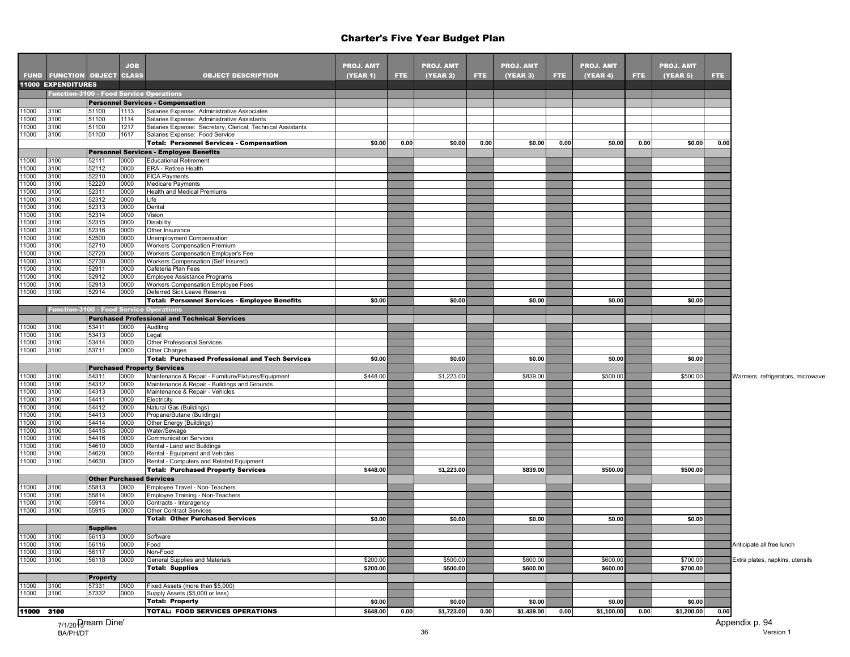|                |                            |                    | <b>JOB</b>   |                                                                                                        | <b>PROJ. AMT</b> |      | <b>PROJ. AMT</b> |      | <b>PROJ. AMT</b> |            | <b>PROJ. AMT</b> |      | <b>PROJ. AMT</b> |      |                                   |
|----------------|----------------------------|--------------------|--------------|--------------------------------------------------------------------------------------------------------|------------------|------|------------------|------|------------------|------------|------------------|------|------------------|------|-----------------------------------|
|                | FUND FUNCTION OBJECT CLASS |                    |              | <b>OBJECT DESCRIPTION</b>                                                                              | (YEAR 1)         | FTE. | (YEAR 2)         | FTE. | (YEAR 3)         | <b>FTE</b> | (YEAR 4)         | FTE. | (YEAR 5)         | FTE. |                                   |
|                | 11000 EXPENDITURES         |                    |              |                                                                                                        |                  |      |                  |      |                  |            |                  |      |                  |      |                                   |
|                |                            |                    |              | <b>Function-3100 - Food Service Operations</b>                                                         |                  |      |                  |      |                  |            |                  |      |                  |      |                                   |
| 11000          | 3100                       | 51100              | 1113         | <b>Personnel Services - Compensation</b><br>Salaries Expense: Administrative Associates                |                  |      |                  |      |                  |            |                  |      |                  |      |                                   |
| 11000          | 3100                       | 51100              | 1114         | Salaries Expense: Administrative Assistants                                                            |                  |      |                  |      |                  |            |                  |      |                  |      |                                   |
| 11000          | 3100                       | 51100              | 1217         | Salaries Expense: Secretary, Clerical, Technical Assistants                                            |                  |      |                  |      |                  |            |                  |      |                  |      |                                   |
| 11000          | 3100                       | 51100              | 1617         | Salaries Expense: Food Service                                                                         |                  |      |                  |      |                  |            |                  |      |                  |      |                                   |
|                |                            |                    |              | <b>Total: Personnel Services - Compensation</b>                                                        | \$0.00           | 0.00 | \$0.00           | 0.00 | \$0.00           | 0.00       | \$0.00           | 0.00 | \$0.00           | 0.00 |                                   |
|                |                            |                    |              | <b>Personnel Services - Employee Benefits</b>                                                          |                  |      |                  |      |                  |            |                  |      |                  |      |                                   |
| 11000<br>11000 | 3100<br>3100               | 52111<br>52112     | 0000<br>0000 | <b>Educational Retirement</b><br>ERA - Retiree Health                                                  |                  |      |                  |      |                  |            |                  |      |                  |      |                                   |
| 11000          | 3100                       | 52210              | 0000         | <b>FICA Payments</b>                                                                                   |                  |      |                  |      |                  |            |                  |      |                  |      |                                   |
| 11000          | 3100                       | 52220              | 0000         | <b>Medicare Payments</b>                                                                               |                  |      |                  |      |                  |            |                  |      |                  |      |                                   |
| 11000          | 3100                       | 52311              | 0000         | Health and Medical Premiums                                                                            |                  |      |                  |      |                  |            |                  |      |                  |      |                                   |
| 11000          | 3100                       | 52312              | 0000         | Life                                                                                                   |                  |      |                  |      |                  |            |                  |      |                  |      |                                   |
| 11000<br>11000 | 3100<br>3100               | 52313<br>52314     | 0000<br>0000 | Dental<br>Vision                                                                                       |                  |      |                  |      |                  |            |                  |      |                  |      |                                   |
| 11000          | 3100                       | 52315              | 0000         | Disability                                                                                             |                  |      |                  |      |                  |            |                  |      |                  |      |                                   |
| 11000          | 3100                       | 52316              | 0000         | Other Insurance                                                                                        |                  |      |                  |      |                  |            |                  |      |                  |      |                                   |
| 11000          | 3100                       | 52500              | 0000         | Unemployment Compensation                                                                              |                  |      |                  |      |                  |            |                  |      |                  |      |                                   |
| 11000          | 3100                       | 52710              | 0000         | <b>Workers Compensation Premium</b>                                                                    |                  |      |                  |      |                  |            |                  |      |                  |      |                                   |
| 11000<br>11000 | 3100<br>3100               | 52720<br>52730     | 0000<br>0000 | Workers Compensation Employer's Fee<br>Workers Compensation (Self Insured)                             |                  |      |                  |      |                  |            |                  |      |                  |      |                                   |
| 11000          | 3100                       | 52911              | 0000         | Cafeteria Plan Fees                                                                                    |                  |      |                  |      |                  |            |                  |      |                  |      |                                   |
| 11000          | 3100                       | 52912              | 0000         | <b>Employee Assistance Programs</b>                                                                    |                  |      |                  |      |                  |            |                  |      |                  |      |                                   |
| 11000          | 3100                       | 52913              | 0000         | Workers Compensation Employee Fees                                                                     |                  |      |                  |      |                  |            |                  |      |                  |      |                                   |
| 11000          | 3100                       | 52914              | 0000         | Deferred Sick Leave Reserve                                                                            |                  |      |                  |      |                  |            |                  |      |                  |      |                                   |
|                |                            |                    |              | <b>Total: Personnel Services - Employee Benefits</b>                                                   | \$0.00           |      | \$0.00           |      | \$0.00           |            | \$0.00           |      | \$0.00           |      |                                   |
|                |                            |                    |              | <b>Function-3100 - Food Service Operations</b><br><b>Purchased Professional and Technical Services</b> |                  |      |                  |      |                  |            |                  |      |                  |      |                                   |
| 11000          | 3100                       | 53411              | 0000         | Auditing                                                                                               |                  |      |                  |      |                  |            |                  |      |                  |      |                                   |
| 11000          | 3100                       | 53413              | 0000         | Legal                                                                                                  |                  |      |                  |      |                  |            |                  |      |                  |      |                                   |
| 11000          | 3100                       | 53414              | 0000         | <b>Other Professional Services</b>                                                                     |                  |      |                  |      |                  |            |                  |      |                  |      |                                   |
| 11000          | 3100                       | 53711              | 0000         | Other Charges                                                                                          |                  |      |                  |      |                  |            |                  |      |                  |      |                                   |
|                |                            |                    |              | <b>Total: Purchased Professional and Tech Services</b>                                                 | \$0.00           |      | \$0.00           |      | \$0.00           |            | \$0.00           |      | \$0.00           |      |                                   |
| 11000          | 3100                       | 54311              | 0000         | <b>Purchased Property Services</b><br>Maintenance & Repair - Furniture/Fixtures/Equipment              |                  |      |                  |      |                  |            |                  |      |                  |      |                                   |
| 11000          | 3100                       | 54312              | 0000         | Maintenance & Repair - Buildings and Grounds                                                           | \$448.00         |      | \$1,223.00       |      | \$839.00         |            | \$500.00         |      | \$500.00         |      | Warmers, refrigerators, microwave |
| 11000          | 3100                       | 54313              | 0000         | Maintenance & Repair - Vehicles                                                                        |                  |      |                  |      |                  |            |                  |      |                  |      |                                   |
| 11000          | 3100                       | 54411              | 0000         | Electricity                                                                                            |                  |      |                  |      |                  |            |                  |      |                  |      |                                   |
| 11000<br>11000 | 3100                       | 54412<br>54413     | 0000         | Natural Gas (Buildings)                                                                                |                  |      |                  |      |                  |            |                  |      |                  |      |                                   |
| 11000          | 3100<br>3100               | 54414              | 0000<br>0000 | Propane/Butane (Buildings)<br>Other Energy (Buildings)                                                 |                  |      |                  |      |                  |            |                  |      |                  |      |                                   |
| 11000          | 3100                       | 54415              | 0000         | Water/Sewage                                                                                           |                  |      |                  |      |                  |            |                  |      |                  |      |                                   |
| 11000          | 3100                       | 54416              | 0000         | <b>Communication Services</b>                                                                          |                  |      |                  |      |                  |            |                  |      |                  |      |                                   |
| 11000          | 3100                       | 54610              | 0000         | Rental - Land and Buildings                                                                            |                  |      |                  |      |                  |            |                  |      |                  |      |                                   |
| 11000<br>11000 | 3100<br>3100               | 54620<br>54630     | 0000<br>0000 | Rental - Equipment and Vehicles                                                                        |                  |      |                  |      |                  |            |                  |      |                  |      |                                   |
|                |                            |                    |              | Rental - Computers and Related Equipment<br><b>Total: Purchased Property Services</b>                  | \$448.00         |      | \$1,223.00       |      | \$839.00         |            | \$500.00         |      | \$500.00         |      |                                   |
|                |                            |                    |              | <b>Other Purchased Services</b>                                                                        |                  |      |                  |      |                  |            |                  |      |                  |      |                                   |
| 11000          | 3100                       | 55813              | 0000         | Employee Travel - Non-Teachers                                                                         |                  |      |                  |      |                  |            |                  |      |                  |      |                                   |
| 11000          | 3100                       | 55814              | 0000         | Employee Training - Non-Teachers                                                                       |                  |      |                  |      |                  |            |                  |      |                  |      |                                   |
| 11000          | 3100                       | 55914              | 0000         | Contracts - Interagency                                                                                |                  |      |                  |      |                  |            |                  |      |                  |      |                                   |
| 11000          | 3100                       | 55915              | 0000         | Other Contract Services<br><b>Total: Other Purchased Services</b>                                      |                  |      |                  |      |                  |            |                  |      |                  |      |                                   |
|                |                            | <b>Supplies</b>    |              |                                                                                                        | \$0.00           |      | \$0.00           |      | \$0.00           |            | \$0.00           |      | \$0.00           |      |                                   |
|                | 3100                       | 56113              | 0000         | Software                                                                                               |                  |      |                  |      |                  |            |                  |      |                  |      |                                   |
| 11000<br>11000 | 3100                       | 56116              | 0000         | Food                                                                                                   |                  |      |                  |      |                  |            |                  |      |                  |      | Anticipate all free lunch         |
| 11000          | 3100                       | 56117              | 0000         | Non-Food                                                                                               |                  |      |                  |      |                  |            |                  |      |                  |      |                                   |
| 11000          | 3100                       | 56118              | 0000         | General Supplies and Materials                                                                         | \$200.00         |      | \$500.00         |      | \$600.00         |            | \$600.00         |      | \$700.00         |      | Extra plates, napkins, utensils   |
|                |                            |                    |              | <b>Total: Supplies</b>                                                                                 | \$200.00         |      | \$500.00         |      | \$600.00         |            | \$600.00         |      | \$700.00         |      |                                   |
|                |                            | <b>Property</b>    |              |                                                                                                        |                  |      |                  |      |                  |            |                  |      |                  |      |                                   |
| 11000<br>11000 | 3100<br>3100               | 57331<br>57332     | 0000<br>0000 | Fixed Assets (more than \$5,000)<br>Supply Assets (\$5,000 or less)                                    |                  |      |                  |      |                  |            |                  |      |                  |      |                                   |
|                |                            |                    |              | <b>Total: Property</b>                                                                                 | \$0.00           |      | \$0.00           |      | \$0.00           |            | \$0.00           |      | \$0.00           |      |                                   |
| 11000 3100     |                            |                    |              | <b>TOTAL: FOOD SERVICES OPERATIONS</b>                                                                 | \$648.00         | 0.00 | \$1,723.00       | 0.00 | \$1,439.00       | 0.00       | \$1,100.00       | 0.00 | \$1,200.00       | 0.00 |                                   |
|                |                            | 7/1/20 Pream Dine' |              |                                                                                                        |                  |      |                  |      |                  |            |                  |      |                  |      |                                   |
|                |                            |                    |              |                                                                                                        |                  |      |                  |      |                  |            |                  |      |                  |      | Appendix p. 94                    |

7/1/20 Pream Dine' BA/PH/DT 36 Version 1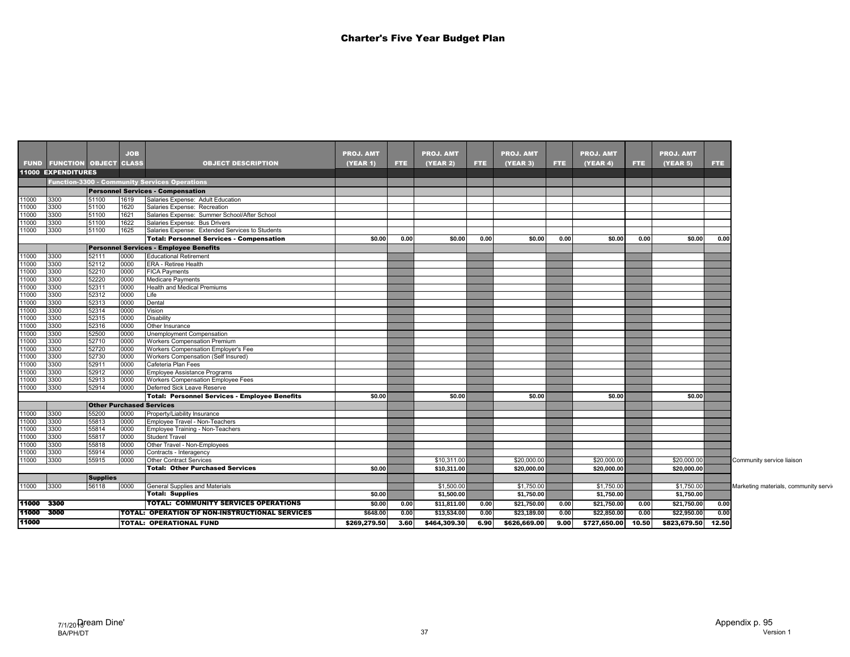|                |                                   |                                 | <b>JOB</b>   |                                                                         | <b>PROJ. AMT</b> |      | <b>PROJ. AMT</b> |      | <b>PROJ. AMT</b> |      | <b>PROJ. AMT</b> |       | <b>PROJ. AMT</b>   |      |
|----------------|-----------------------------------|---------------------------------|--------------|-------------------------------------------------------------------------|------------------|------|------------------|------|------------------|------|------------------|-------|--------------------|------|
|                | <b>FUND FUNCTION OBJECT CLASS</b> |                                 |              | <b>OBJECT DESCRIPTION</b>                                               | <b>(YEAR 1)</b>  | FTE. | <b>(YEAR 2)</b>  | FTE. | <b>(YEAR 3)</b>  | FTE. | (YEAR 4)         | FTE.  | (YEAR 5)           | FTE. |
|                | 11000 EXPENDITURES                |                                 |              |                                                                         |                  |      |                  |      |                  |      |                  |       |                    |      |
|                |                                   |                                 |              | <b>Function-3300 - Community Services Operations</b>                    |                  |      |                  |      |                  |      |                  |       |                    |      |
|                |                                   |                                 |              | <b>Personnel Services - Compensation</b>                                |                  |      |                  |      |                  |      |                  |       |                    |      |
| 11000          | 3300                              | 51100                           | 1619         | Salaries Expense: Adult Education                                       |                  |      |                  |      |                  |      |                  |       |                    |      |
| 11000          | 3300                              | 51100                           | 1620         | Salaries Expense: Recreation                                            |                  |      |                  |      |                  |      |                  |       |                    |      |
| 11000          | 3300                              | 51100                           | 1621         | Salaries Expense: Summer School/After School                            |                  |      |                  |      |                  |      |                  |       |                    |      |
| 11000          | 3300                              | 51100                           | 1622         | Salaries Expense: Bus Drivers                                           |                  |      |                  |      |                  |      |                  |       |                    |      |
| 11000          | 3300                              | 51100                           | 1625         | Salaries Expense: Extended Services to Students                         |                  |      |                  |      |                  |      |                  |       |                    |      |
|                |                                   |                                 |              | <b>Total: Personnel Services - Compensation</b>                         | \$0.00           | 0.00 | \$0.00           | 0.00 | \$0.00           | 0.00 | \$0.00           | 0.00  | \$0.00             | 0.00 |
|                |                                   |                                 |              | <b>Personnel Services - Employee Benefits</b>                           |                  |      |                  |      |                  |      |                  |       |                    |      |
| 11000          | 3300                              | 52111                           | 0000         | <b>Educational Retirement</b>                                           |                  |      |                  |      |                  |      |                  |       |                    |      |
| 11000          | 3300                              | 52112                           | 0000         | <b>ERA - Retiree Health</b>                                             |                  |      |                  |      |                  |      |                  |       |                    |      |
| 11000          | 3300                              | 52210                           | 0000         | <b>FICA Payments</b>                                                    |                  |      |                  |      |                  |      |                  |       |                    |      |
| 11000          | 3300                              | 52220                           | 0000         | <b>Medicare Payments</b>                                                |                  |      |                  |      |                  |      |                  |       |                    |      |
| 11000          | 3300                              | 52311                           | 0000         | Health and Medical Premiums                                             |                  |      |                  |      |                  |      |                  |       |                    |      |
| 11000          | 3300                              | 52312                           | 0000         | Life                                                                    |                  |      |                  |      |                  |      |                  |       |                    |      |
| 11000          | 3300                              | 52313                           | 0000         | Dental                                                                  |                  |      |                  |      |                  |      |                  |       |                    |      |
| 11000          | 3300                              | 52314                           | 0000         | Vision                                                                  |                  |      |                  |      |                  |      |                  |       |                    |      |
| 11000          | 3300                              | 52315                           | 0000         | Disability                                                              |                  |      |                  |      |                  |      |                  |       |                    |      |
| 11000          | 3300                              | 52316                           | 0000         | Other Insurance                                                         |                  |      |                  |      |                  |      |                  |       |                    |      |
| 11000<br>11000 | 3300                              | 52500<br>52710                  | 0000<br>0000 | <b>Unemployment Compensation</b><br><b>Workers Compensation Premium</b> |                  |      |                  |      |                  |      |                  |       |                    |      |
| 11000          | 3300<br>3300                      | 52720                           | 0000         | Workers Compensation Employer's Fee                                     |                  |      |                  |      |                  |      |                  |       |                    |      |
| 11000          | 3300                              | 52730                           | 0000         | Workers Compensation (Self Insured)                                     |                  |      |                  |      |                  |      |                  |       |                    |      |
| 11000          | 3300                              | 52911                           | 0000         | Cafeteria Plan Fees                                                     |                  |      |                  |      |                  |      |                  |       |                    |      |
| 11000          | 3300                              | 52912                           | 0000         | Employee Assistance Programs                                            |                  |      |                  |      |                  |      |                  |       |                    |      |
| 11000          | 3300                              | 52913                           | 0000         | <b>Workers Compensation Employee Fees</b>                               |                  |      |                  |      |                  |      |                  |       |                    |      |
| 11000          | 3300                              | 52914                           | 0000         | Deferred Sick Leave Reserve                                             |                  |      |                  |      |                  |      |                  |       |                    |      |
|                |                                   |                                 |              | Total: Personnel Services - Employee Benefits                           | \$0.00           |      | \$0.00           |      | \$0.00           |      | \$0.00           |       | \$0.00             |      |
|                |                                   | <b>Other Purchased Services</b> |              |                                                                         |                  |      |                  |      |                  |      |                  |       |                    |      |
| 11000          | 3300                              | 55200                           | 0000         | Property/Liability Insurance                                            |                  |      |                  |      |                  |      |                  |       |                    |      |
| 11000          | 3300                              | 55813                           | 0000         | Employee Travel - Non-Teachers                                          |                  |      |                  |      |                  |      |                  |       |                    |      |
| 11000          | 3300                              | 55814                           | 0000         | Employee Training - Non-Teachers                                        |                  |      |                  |      |                  |      |                  |       |                    |      |
| 11000          | 3300                              | 55817                           | 0000         | <b>Student Travel</b>                                                   |                  |      |                  |      |                  |      |                  |       |                    |      |
| 11000          | 3300                              | 55818                           | 0000         | Other Travel - Non-Employees                                            |                  |      |                  |      |                  |      |                  |       |                    |      |
| 11000          | 3300                              | 55914                           | 0000         | Contracts - Interagency                                                 |                  |      |                  |      |                  |      |                  |       |                    |      |
| 11000          | 3300                              | 55915                           | 0000         | <b>Other Contract Services</b>                                          |                  |      | \$10,311.00      |      | \$20,000.00      |      | \$20,000.00      |       | \$20,000.00        |      |
|                |                                   |                                 |              | <b>Total: Other Purchased Services</b>                                  | \$0.00           |      | \$10,311.00      |      | \$20,000.00      |      | \$20,000.00      |       | \$20,000.00        |      |
|                |                                   | <b>Supplies</b>                 |              |                                                                         |                  |      |                  |      |                  |      |                  |       |                    |      |
| 11000          | 3300                              | 56118                           | 0000         | General Supplies and Materials                                          |                  |      | \$1,500.00       |      | \$1,750.00       |      | \$1,750.00       |       | \$1,750.00         |      |
|                |                                   |                                 |              | <b>Total: Supplies</b>                                                  | \$0.00           |      | \$1,500.00       |      | \$1,750.00       |      | \$1,750.00       |       | \$1,750.00         |      |
|                | 11000 3300                        |                                 |              | <b>TOTAL: COMMUNITY SERVICES OPERATIONS</b>                             | \$0.00           | 0.00 | \$11,811.00      | 0.00 | \$21,750.00      | 0.00 | \$21,750.00      | 0.00  | \$21,750.00        | 0.00 |
| 11000 3000     |                                   |                                 |              | <b>TOTAL: OPERATION OF NON-INSTRUCTIONAL SERVICES</b>                   | \$648.00         | 0.00 | \$13,534.00      | 0.00 | \$23,189.00      | 0.00 | \$22,850.00      | 0.00  | \$22,950.00        | 0.00 |
| 11000          |                                   |                                 |              | <b>TOTAL: OPERATIONAL FUND</b>                                          | \$269,279.50     | 3.60 | \$464,309.30     | 6.90 | \$626,669.00     | 9.00 | \$727,650.00     | 10.50 | \$823,679.50 12.50 |      |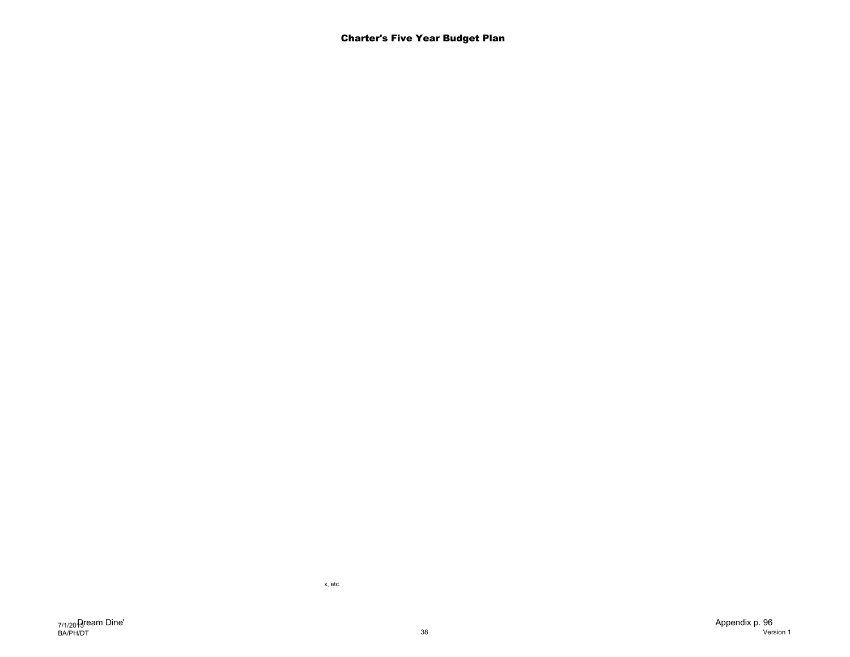x, etc.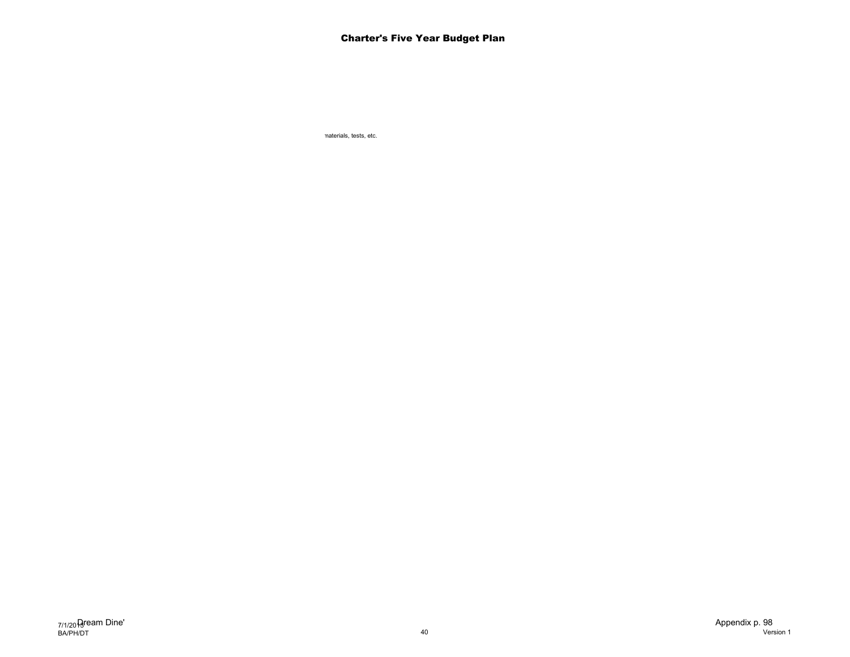materials, tests, etc.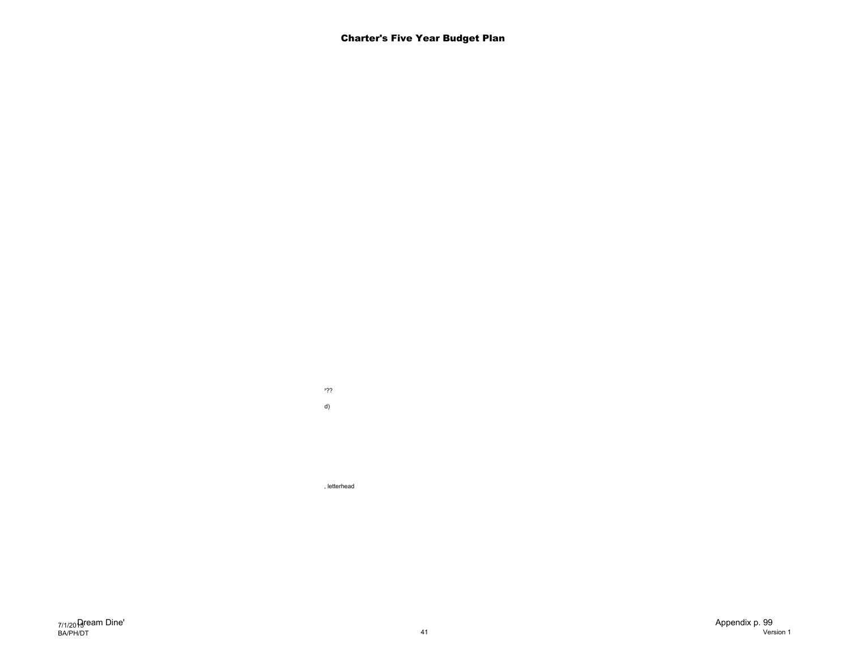Employment notifications, enrollment???  $\mathsf{d}$ 

, letterhead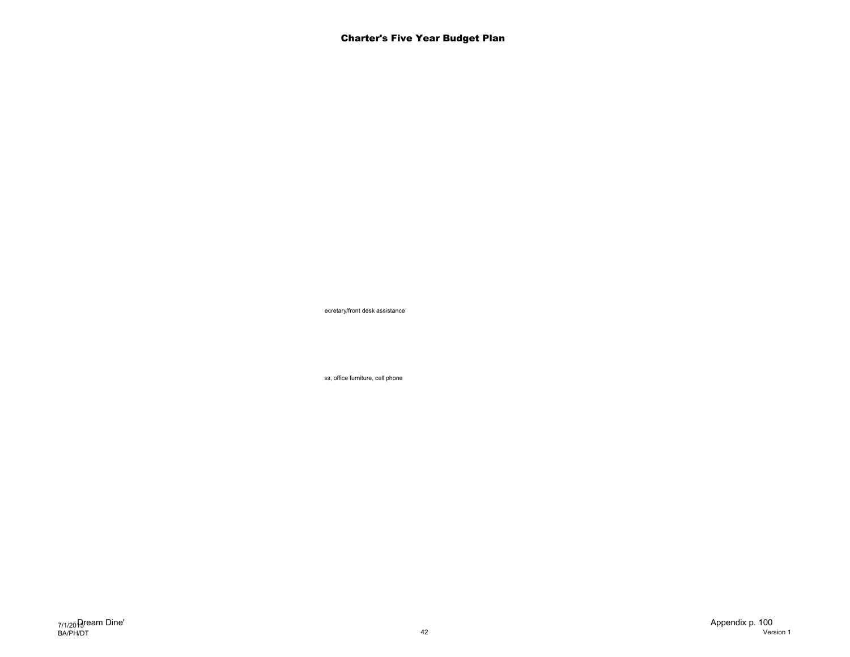ecretary/front desk assistance

es, office furniture, cell phone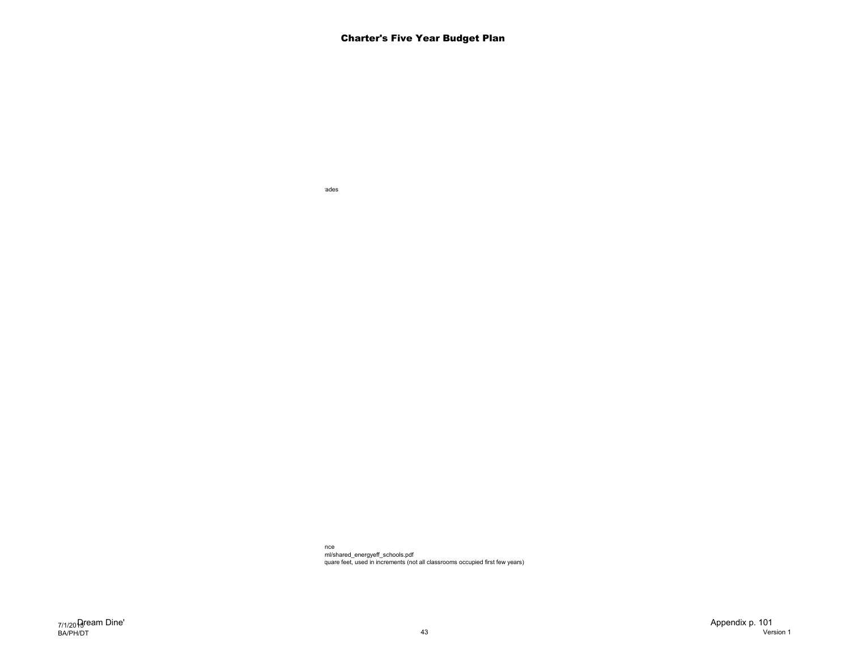ades<sup>-</sup>

nce<br>ml/shared\_energyeff\_schools.pdf quare feet, used in increments (not all classrooms occupied first few years)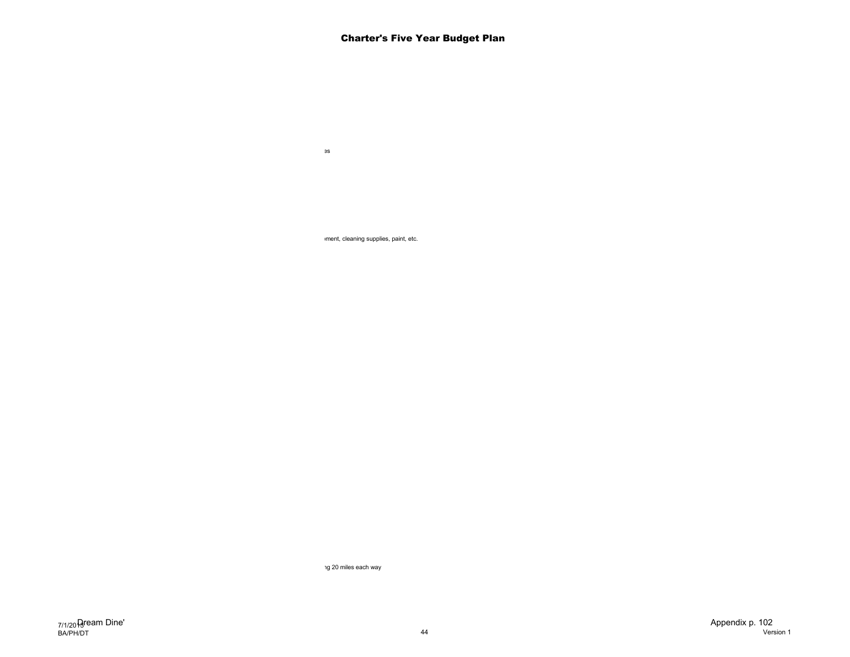$b$ ment, cleaning supplies, paint, etc.

Custodial and groundskeeping services

ng 20 miles each way